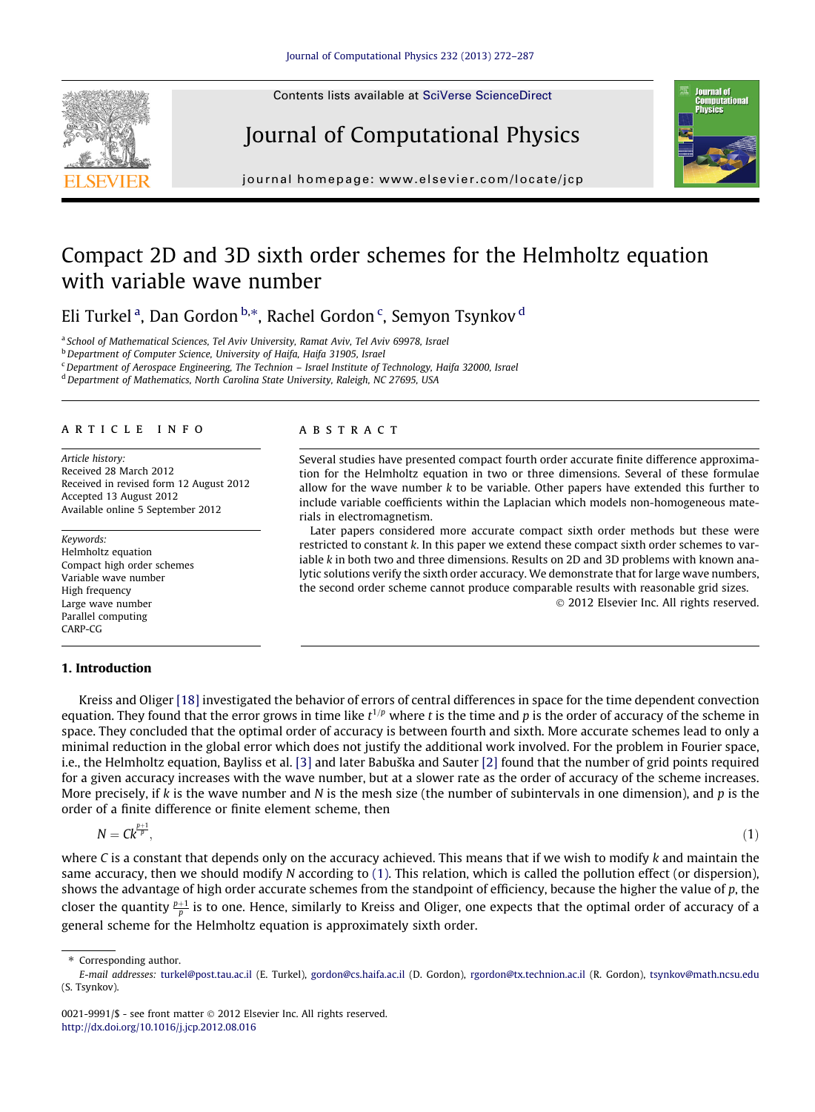Contents lists available at [SciVerse ScienceDirect](http://www.sciencedirect.com/science/journal/00219991)

# Journal of Computational Physics

journal homepage: [www.elsevier.com/locate/jcp](http://www.elsevier.com/locate/jcp)

## Compact 2D and 3D sixth order schemes for the Helmholtz equation with variable wave number

Eli Turkel <sup>a</sup>, Dan Gordon <sup>b,</sup>\*, Rachel Gordon <sup>c</sup>, Semyon Tsynkov <sup>d</sup>

<sup>a</sup> School of Mathematical Sciences, Tel Aviv University, Ramat Aviv, Tel Aviv 69978, Israel

**b** Department of Computer Science, University of Haifa, Haifa 31905, Israel

<sup>c</sup>Department of Aerospace Engineering, The Technion – Israel Institute of Technology, Haifa 32000, Israel

<sup>d</sup> Department of Mathematics, North Carolina State University, Raleigh, NC 27695, USA

#### article info

Article history: Received 28 March 2012 Received in revised form 12 August 2012 Accepted 13 August 2012 Available online 5 September 2012

Keywords: Helmholtz equation Compact high order schemes Variable wave number High frequency Large wave number Parallel computing CARP-CG

#### 1. Introduction

## **ABSTRACT**

Several studies have presented compact fourth order accurate finite difference approximation for the Helmholtz equation in two or three dimensions. Several of these formulae allow for the wave number  $k$  to be variable. Other papers have extended this further to include variable coefficients within the Laplacian which models non-homogeneous materials in electromagnetism.

Later papers considered more accurate compact sixth order methods but these were restricted to constant k. In this paper we extend these compact sixth order schemes to variable  $k$  in both two and three dimensions. Results on 2D and 3D problems with known analytic solutions verify the sixth order accuracy. We demonstrate that for large wave numbers, the second order scheme cannot produce comparable results with reasonable grid sizes. - 2012 Elsevier Inc. All rights reserved.

Kreiss and Oliger [\[18\]](#page-15-0) investigated the behavior of errors of central differences in space for the time dependent convection equation. They found that the error grows in time like  $t^{1/p}$  where t is the time and p is the order of accuracy of the scheme in space. They concluded that the optimal order of accuracy is between fourth and sixth. More accurate schemes lead to only a minimal reduction in the global error which does not justify the additional work involved. For the problem in Fourier space, i.e., the Helmholtz equation, Bayliss et al. [\[3\]](#page-15-0) and later Babuška and Sauter [\[2\]](#page-15-0) found that the number of grid points required for a given accuracy increases with the wave number, but at a slower rate as the order of accuracy of the scheme increases.

More precisely, if k is the wave number and N is the mesh size (the number of subintervals in one dimension), and p is the

 $N = Ck^{\frac{p+1}{p}}$ 

 $\overline{P}$ ,  $(1)$ 

where C is a constant that depends only on the accuracy achieved. This means that if we wish to modify  $k$  and maintain the same accuracy, then we should modify N according to (1). This relation, which is called the pollution effect (or dispersion), shows the advantage of high order accurate schemes from the standpoint of efficiency, because the higher the value of p, the closer the quantity  $\frac{p+1}{p}$  is to one. Hence, similarly to Kreiss and Oliger, one expects that the optimal order of accuracy of a general scheme for the Helmholtz equation is approximately sixth order.

order of a finite difference or finite element scheme, then

<span id="page-0-0"></span>



Corresponding author.

E-mail addresses: [turkel@post.tau.ac.il](mailto:turkel@post.tau.ac.il) (E. Turkel), [gordon@cs.haifa.ac.il](mailto:gordon@cs.haifa.ac.il) (D. Gordon), [rgordon@tx.technion.ac.il](mailto:rgordon@tx.technion.ac.il) (R. Gordon), [tsynkov@math.ncsu.edu](mailto:tsynkov@math.ncsu.edu) (S. Tsynkov).

<sup>0021-9991/\$ -</sup> see front matter © 2012 Elsevier Inc. All rights reserved. <http://dx.doi.org/10.1016/j.jcp.2012.08.016>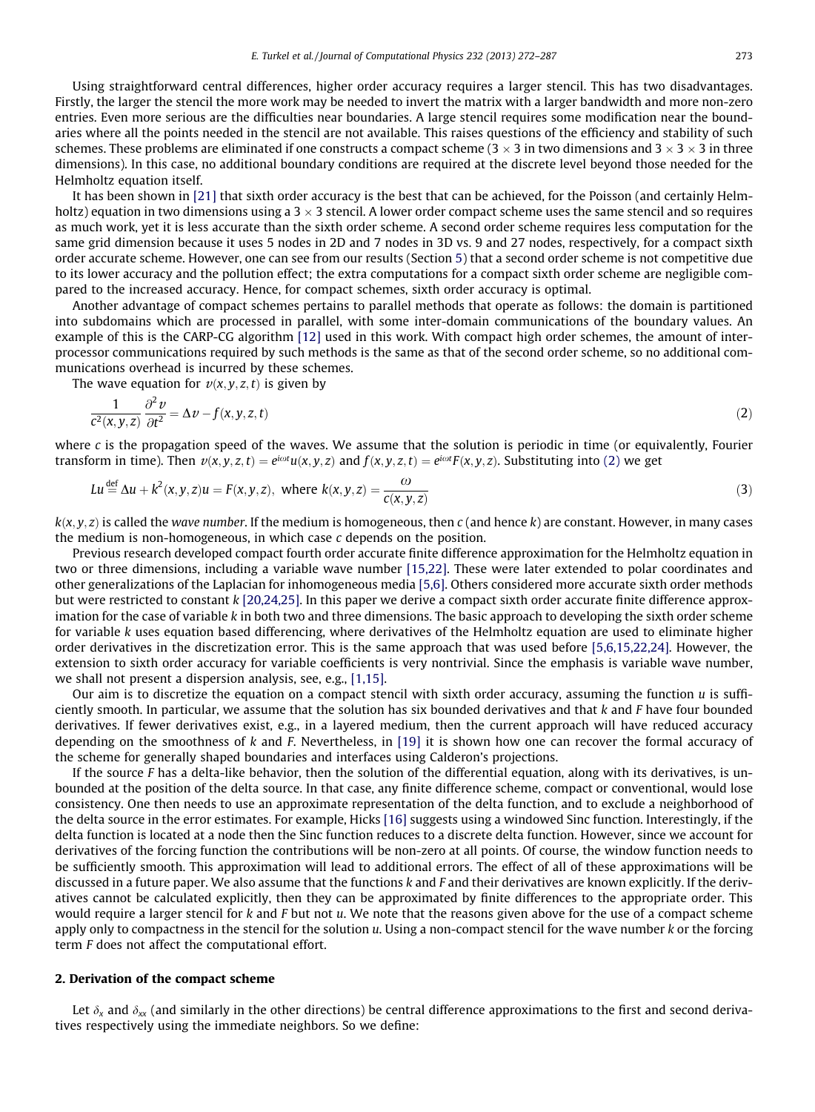<span id="page-1-0"></span>Using straightforward central differences, higher order accuracy requires a larger stencil. This has two disadvantages. Firstly, the larger the stencil the more work may be needed to invert the matrix with a larger bandwidth and more non-zero entries. Even more serious are the difficulties near boundaries. A large stencil requires some modification near the boundaries where all the points needed in the stencil are not available. This raises questions of the efficiency and stability of such schemes. These problems are eliminated if one constructs a compact scheme (3  $\times$  3 in two dimensions and 3  $\times$  3  $\times$  3 in three dimensions). In this case, no additional boundary conditions are required at the discrete level beyond those needed for the Helmholtz equation itself.

It has been shown in [\[21\]](#page-15-0) that sixth order accuracy is the best that can be achieved, for the Poisson (and certainly Helmholtz) equation in two dimensions using a 3  $\times$  3 stencil. A lower order compact scheme uses the same stencil and so requires as much work, yet it is less accurate than the sixth order scheme. A second order scheme requires less computation for the same grid dimension because it uses 5 nodes in 2D and 7 nodes in 3D vs. 9 and 27 nodes, respectively, for a compact sixth order accurate scheme. However, one can see from our results (Section 5) that a second order scheme is not competitive due to its lower accuracy and the pollution effect; the extra computations for a compact sixth order scheme are negligible compared to the increased accuracy. Hence, for compact schemes, sixth order accuracy is optimal.

Another advantage of compact schemes pertains to parallel methods that operate as follows: the domain is partitioned into subdomains which are processed in parallel, with some inter-domain communications of the boundary values. An example of this is the CARP-CG algorithm [\[12\]](#page-15-0) used in this work. With compact high order schemes, the amount of interprocessor communications required by such methods is the same as that of the second order scheme, so no additional communications overhead is incurred by these schemes.

The wave equation for  $v(x, y, z, t)$  is given by

$$
\frac{1}{c^2(x, y, z)} \frac{\partial^2 v}{\partial t^2} = \Delta v - f(x, y, z, t)
$$
\n(2)

where c is the propagation speed of the waves. We assume that the solution is periodic in time (or equivalently, Fourier transform in time). Then  $v(x,y,z,t)=e^{i\omega t}u(x,y,z)$  and  $f(x,y,z,t)=e^{i\omega t}F(x,y,z)$ . Substituting into (2) we get

$$
Lu \stackrel{\text{def}}{=} \Delta u + k^2(x, y, z)u = F(x, y, z), \text{ where } k(x, y, z) = \frac{\omega}{c(x, y, z)}
$$
(3)

 $k(x, y, z)$  is called the wave number. If the medium is homogeneous, then c (and hence k) are constant. However, in many cases the medium is non-homogeneous, in which case c depends on the position.

Previous research developed compact fourth order accurate finite difference approximation for the Helmholtz equation in two or three dimensions, including a variable wave number [\[15,22\].](#page-15-0) These were later extended to polar coordinates and other generalizations of the Laplacian for inhomogeneous media [\[5,6\]](#page-15-0). Others considered more accurate sixth order methods but were restricted to constant k [\[20,24,25\]](#page-15-0). In this paper we derive a compact sixth order accurate finite difference approximation for the case of variable k in both two and three dimensions. The basic approach to developing the sixth order scheme for variable k uses equation based differencing, where derivatives of the Helmholtz equation are used to eliminate higher order derivatives in the discretization error. This is the same approach that was used before [\[5,6,15,22,24\]](#page-15-0). However, the extension to sixth order accuracy for variable coefficients is very nontrivial. Since the emphasis is variable wave number, we shall not present a dispersion analysis, see, e.g., [\[1,15\].](#page-15-0)

Our aim is to discretize the equation on a compact stencil with sixth order accuracy, assuming the function  $u$  is sufficiently smooth. In particular, we assume that the solution has six bounded derivatives and that  $k$  and  $F$  have four bounded derivatives. If fewer derivatives exist, e.g., in a layered medium, then the current approach will have reduced accuracy depending on the smoothness of k and F. Nevertheless, in [\[19\]](#page-15-0) it is shown how one can recover the formal accuracy of the scheme for generally shaped boundaries and interfaces using Calderon's projections.

If the source  $F$  has a delta-like behavior, then the solution of the differential equation, along with its derivatives, is unbounded at the position of the delta source. In that case, any finite difference scheme, compact or conventional, would lose consistency. One then needs to use an approximate representation of the delta function, and to exclude a neighborhood of the delta source in the error estimates. For example, Hicks [\[16\]](#page-15-0) suggests using a windowed Sinc function. Interestingly, if the delta function is located at a node then the Sinc function reduces to a discrete delta function. However, since we account for derivatives of the forcing function the contributions will be non-zero at all points. Of course, the window function needs to be sufficiently smooth. This approximation will lead to additional errors. The effect of all of these approximations will be discussed in a future paper. We also assume that the functions k and F and their derivatives are known explicitly. If the derivatives cannot be calculated explicitly, then they can be approximated by finite differences to the appropriate order. This would require a larger stencil for  $k$  and  $F$  but not  $u$ . We note that the reasons given above for the use of a compact scheme apply only to compactness in the stencil for the solution u. Using a non-compact stencil for the wave number k or the forcing term F does not affect the computational effort.

#### 2. Derivation of the compact scheme

Let  $\delta_x$  and  $\delta_{xx}$  (and similarly in the other directions) be central difference approximations to the first and second derivatives respectively using the immediate neighbors. So we define: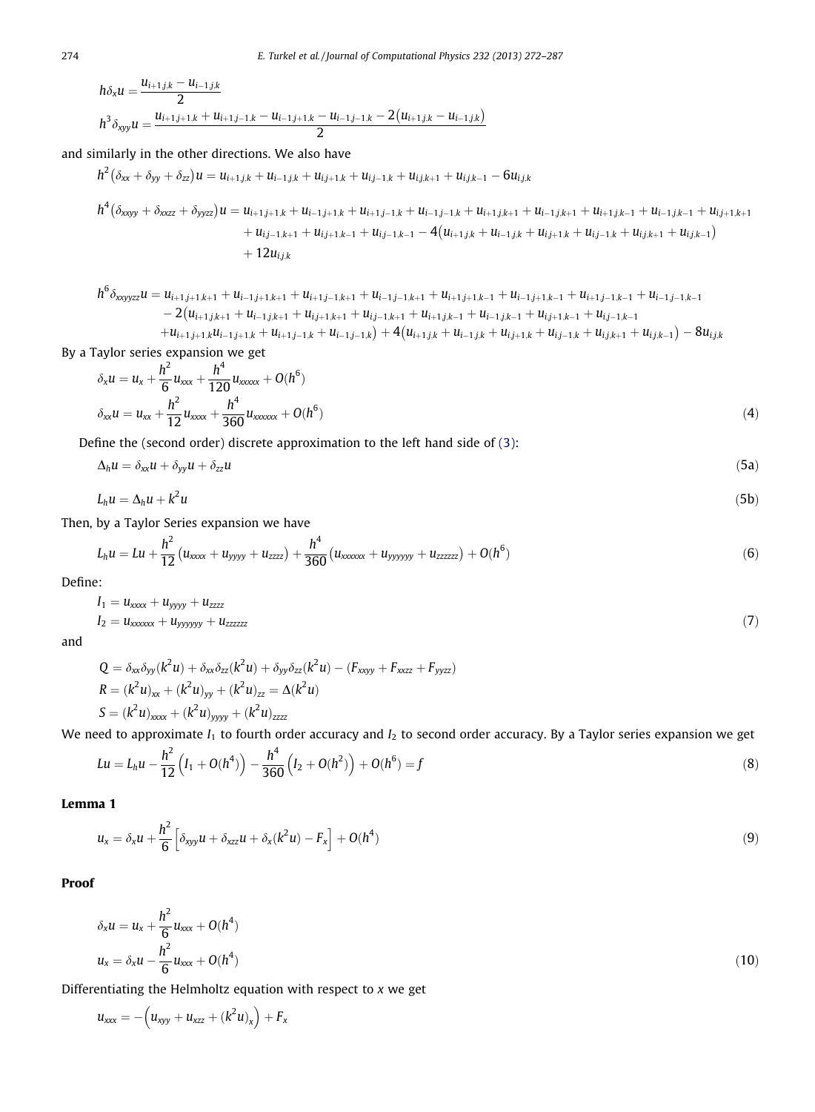$$
h\delta_x u = \frac{u_{i+1,j,k} - u_{i-1,j,k}}{2}
$$
  

$$
h^3 \delta_{xyy} u = \frac{u_{i+1,j+1,k} + u_{i+1,j-1,k} - u_{i-1,j+1,k} - u_{i-1,j-1,k} - 2(u_{i+1,j,k} - u_{i-1,j,k})}{2}
$$

and similarly in the other directions. We also have

$$
h^{2}(\delta_{xx} + \delta_{yy} + \delta_{zz})u = u_{i+1,j,k} + u_{i-1,j,k} + u_{i,j+1,k} + u_{i,j-1,k} + u_{i,j,k+1} + u_{i,j,k-1} - 6u_{i,j,k}
$$

$$
h^{4}(\delta_{xxyy} + \delta_{xxzz} + \delta_{yyzz})u = u_{i+1,j+1,k} + u_{i-1,j+1,k} + u_{i+1,j-1,k} + u_{i-1,j-1,k} + u_{i+1,j,k+1} + u_{i-1,j,k+1} + u_{i+1,j,k-1} + u_{i-1,j,k+1} + u_{i,j+1,k+1} + u_{i,j-1,k+1} + u_{i,j+1,k-1} + u_{i,j+1,k-1} + u_{i,j-1,k-1} + u_{i,j-1,k-1} + u_{i,j-1,k-1} - 4(u_{i+1,j,k} + u_{i-1,j,k} + u_{i,j+1,k} + u_{i,j-1,k} + u_{i,j,k+1} + u_{i,j,k-1})
$$

$$
h^{6} \delta_{x \alpha y y z} u = u_{i+1,j+1,k+1} + u_{i-1,j+1,k+1} + u_{i+1,j-1,k+1} + u_{i-1,j-1,k+1} + u_{i+1,j+1,k-1} + u_{i-1,j+1,k-1} + u_{i+1,j-1,k-1} + u_{i-1,j-1,k-1} - 2(u_{i+1,j,k+1} + u_{i-1,j,k+1} + u_{i,j+1,k+1} + u_{i,j-1,k+1} + u_{i+1,j,k-1} + u_{i-1,j,k-1} + u_{i,j+1,k-1} + u_{i,j-1,k-1} + u_{i+1,j+1,k} u_{i-1,j+1,k} + u_{i+1,j-1,k} + u_{i-1,j-1,k}) + 4(u_{i+1,j,k} + u_{i-1,j,k} + u_{i,j+1,k} + u_{i,j-1,k} + u_{i,j,k+1} + u_{i,j,k-1}) - 8u_{i,j,k}
$$

By a Taylor series expansion we get

$$
\delta_x u = u_x + \frac{h^2}{6} u_{xxx} + \frac{h^4}{120} u_{xxxxx} + O(h^6)
$$
  

$$
\delta_{xx} u = u_{xx} + \frac{h^2}{12} u_{xxxxx} + \frac{h^4}{360} u_{xxxxx} + O(h^6)
$$
 (4)

Define the (second order) discrete approximation to the left hand side of [\(3\)](#page-1-0):

$$
\Delta_h u = \delta_{xx} u + \delta_{yy} u + \delta_{zz} u \tag{5a}
$$

$$
L_h u = \Delta_h u + k^2 u \tag{5b}
$$

Then, by a Taylor Series expansion we have

$$
L_h u = Lu + \frac{h^2}{12} (u_{xxxx} + u_{yyy} + u_{zzzz}) + \frac{h^4}{360} (u_{xxxxxx} + u_{yyyyyy} + u_{zzzzzz}) + O(h^6)
$$
\n(6)

Define:

$$
I_1 = u_{xxxxx} + u_{yyyy} + u_{zzzz}
$$
  
\n
$$
I_2 = u_{xxxxx} + u_{yyyyyy} + u_{zzzzzz}
$$
\n(7)

and

$$
Q = \delta_{xx}\delta_{yy}(k^2u) + \delta_{xx}\delta_{zz}(k^2u) + \delta_{yy}\delta_{zz}(k^2u) - (F_{xxyy} + F_{xzz} + F_{yyzz})
$$
  
\n
$$
R = (k^2u)_{xx} + (k^2u)_{yy} + (k^2u)_{zz} = \Delta(k^2u)
$$
  
\n
$$
S = (k^2u)_{xxxx} + (k^2u)_{yyy} + (k^2u)_{zzzz}
$$

We need to approximate  $I_1$  to fourth order accuracy and  $I_2$  to second order accuracy. By a Taylor series expansion we get

$$
Lu = L_h u - \frac{h^2}{12} \left( I_1 + O(h^4) \right) - \frac{h^4}{360} \left( I_2 + O(h^2) \right) + O(h^6) = f
$$
\n(8)

Lemma 1

$$
u_x = \delta_x u + \frac{h^2}{6} \left[ \delta_{xyy} u + \delta_{xzz} u + \delta_x (k^2 u) - F_x \right] + O(h^4)
$$
\n(9)

Proof

$$
\delta_x u = u_x + \frac{h^2}{6} u_{xxx} + O(h^4)
$$
  

$$
u_x = \delta_x u - \frac{h^2}{6} u_{xxx} + O(h^4)
$$
 (10)

Differentiating the Helmholtz equation with respect to x we get

$$
u_{xxx} = -\left(u_{xyy} + u_{xzz} + (k^2 u)_x\right) + F_x
$$

<span id="page-2-0"></span>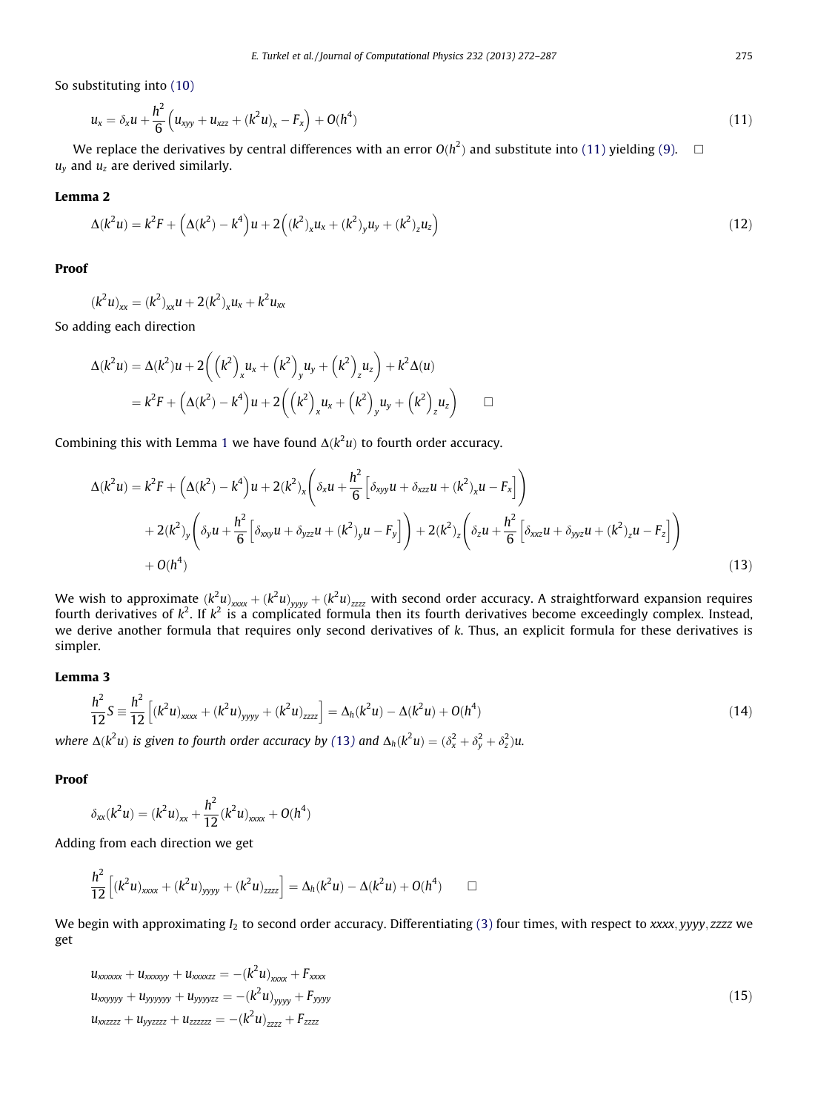<span id="page-3-0"></span>So substituting into [\(10\)](#page-2-0)

$$
u_x = \delta_x u + \frac{h^2}{6} \left( u_{xyy} + u_{xzz} + (k^2 u)_x - F_x \right) + O(h^4)
$$
\n(11)

We replace the derivatives by central differences with an error  $O(h^2)$  and substitute into (11) yielding [\(9\)](#page-2-0).  $\quad \Box$  $u<sub>v</sub>$  and  $u<sub>z</sub>$  are derived similarly.

#### Lemma 2

$$
\Delta(k^2u) = k^2F + \left(\Delta(k^2) - k^4\right)u + 2\left((k^2)_xu_x + (k^2)_yu_y + (k^2)_zu_z\right)
$$
\n(12)

Proof

$$
(k^2 u)_{xx} = (k^2)_{xx} u + 2(k^2)_x u_x + k^2 u_{xx}
$$

So adding each direction

$$
\Delta(k^2 u) = \Delta(k^2)u + 2((k^2)_x u_x + (k^2)_y u_y + (k^2)_z u_z) + k^2 \Delta(u)
$$
  
=  $k^2 F + (\Delta(k^2) - k^4)u + 2((k^2)_x u_x + (k^2)_y u_y + (k^2)_z u_z)$ 

Combining this with Lemma [1](#page-2-0) we have found  $\Delta(k^2u)$  to fourth order accuracy.

$$
\Delta(k^{2}u) = k^{2}F + (\Delta(k^{2}) - k^{4})u + 2(k^{2})_{x}\left(\delta_{x}u + \frac{h^{2}}{6}\left[\delta_{xy}u + \delta_{x}u + (k^{2})_{x}u - F_{x}\right]\right) + 2(k^{2})_{y}\left(\delta_{y}u + \frac{h^{2}}{6}\left[\delta_{xxy}u + \delta_{yz}u + (k^{2})_{y}u - F_{y}\right]\right) + 2(k^{2})_{z}\left(\delta_{z}u + \frac{h^{2}}{6}\left[\delta_{x}u + \delta_{yy}u + (k^{2})_{z}u - F_{z}\right]\right) + O(h^{4})
$$
\n(13)

We wish to approximate  $(k^2u)_{xxxx} + (k^2u)_{yyy} + (k^2u)_{zzzz}$  with second order accuracy. A straightforward expansion requires fourth derivatives of  $k^2$ . If  $k^2$  is a complicated formula then its fourth derivatives become exceedingly complex. Instead, we derive another formula that requires only second derivatives of k. Thus, an explicit formula for these derivatives is simpler.

### Lemma 3

$$
\frac{h^2}{12}S = \frac{h^2}{12} \left[ (k^2 u)_{xxxx} + (k^2 u)_{yyy} + (k^2 u)_{zzzz} \right] = \Delta_h(k^2 u) - \Delta(k^2 u) + O(h^4)
$$
\n
$$
\Delta(k^2 u) = \frac{h^2}{12} \left[ (k^2 u)_{xxxx} + (k^2 u)_{yyy} + (k^2 u)_{zzzz} \right] = \Delta_h(k^2 u) - \Delta(k^2 u) + O(h^4)
$$
\n
$$
(14)
$$

where  $\Delta(k^2u)$  is given to fourth order accuracy by (13) and  $\Delta_h(k^2u)=(\delta^2_x+\delta^2_y+\delta^2_z)$ u.

### Proof

$$
\delta_{xx}(k^2u) = (k^2u)_{xx} + \frac{h^2}{12}(k^2u)_{xxxx} + O(h^4)
$$

Adding from each direction we get

$$
\frac{h^2}{12} \left[ (k^2 u)_{xxxx} + (k^2 u)_{yyy} + (k^2 u)_{zzz} \right] = \Delta_h(k^2 u) - \Delta(k^2 u) + O(h^4) \qquad \Box
$$

We begin with approximating  $I_2$  to second order accuracy. Differentiating [\(3\)](#page-1-0) four times, with respect to xxxx, yyyy, zzzz we get

$$
u_{xxxxx} + u_{xxxxy} + u_{xxxxzz} = -(k^2 u)_{xxxx} + F_{xxxx}
$$
  
\n
$$
u_{xxyyy} + u_{yyyyy} + u_{yyyyzz} = -(k^2 u)_{yyy} + F_{yyyy}
$$
  
\n
$$
u_{xxzzz} + u_{yyzzz} + u_{zzzzz} = -(k^2 u)_{zzzz} + F_{zzzz}
$$
\n(15)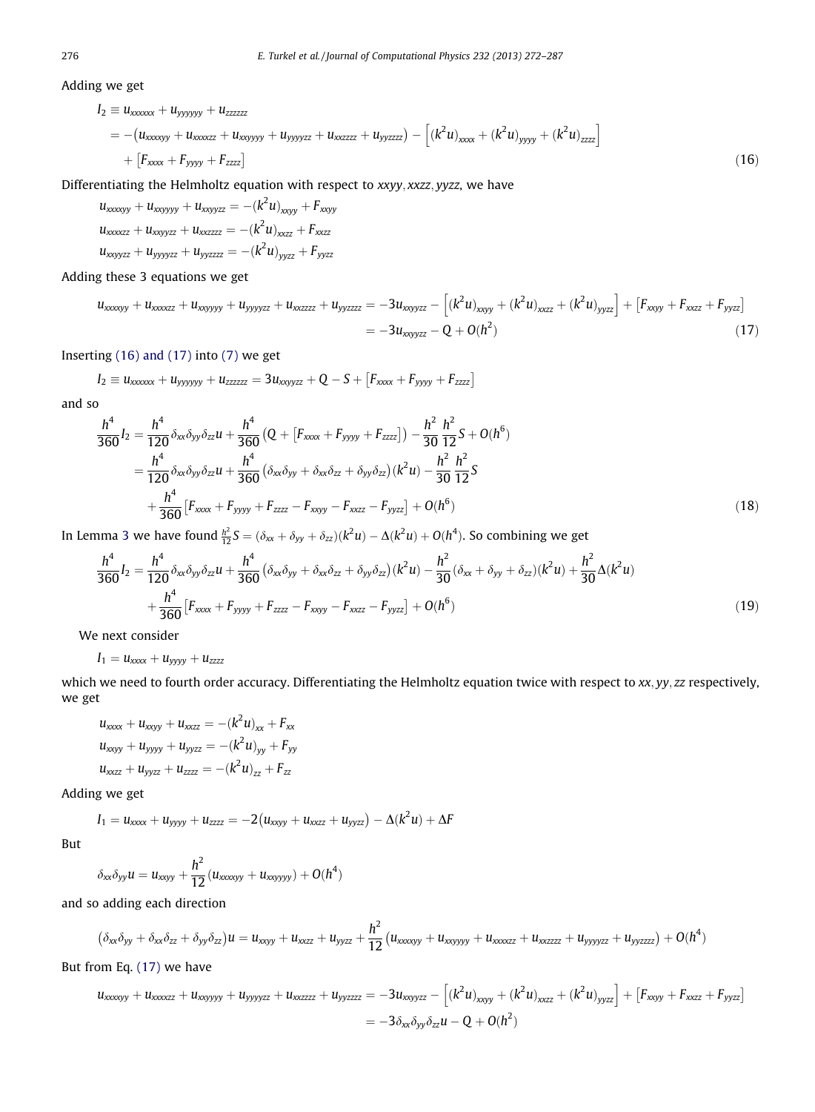Adding we get

$$
I_2 \equiv u_{xxxxx} + u_{yyyyy} + u_{zzzzz}
$$
  
= - (u\_{xxxxy} + u\_{xxxxzz} + u\_{xyyyy} + u\_{yyyzz} + u\_{xzzzz} + u\_{yyzzz}) - [(k^2u)\_{xxxx} + (k^2u)\_{yyy} + (k^2u)\_{zzzz}]   
+ [F\_{xxxx} + F\_{yyyy} + F\_{zzz}] (16)

Differentiating the Helmholtz equation with respect to xxyy, xxzz, yyzz, we have

$$
u_{xxxxxyy} + u_{xxyyyy} + u_{xxyyzz} = -(k^2 u)_{xxyy} + F_{xxyy}
$$
  
\n
$$
u_{xxxxzz} + u_{xxyyzz} + u_{xxzzzz} = -(k^2 u)_{xxzz} + F_{xxzz}
$$
  
\n
$$
u_{xxyyzz} + u_{yyyyzz} + u_{yyzzzz} = -(k^2 u)_{yyzz} + F_{yyzz}
$$

Adding these 3 equations we get

$$
u_{xxxxyy} + u_{xxxxzz} + u_{xxyyyy} + u_{yyyyzz} + u_{xxzzzz} + u_{yyzzzz} = -3u_{xxyyzz} - [(k^2u)_{xxyy} + (k^2u)_{xxzz} + (k^2u)_{yyzz}] + [F_{xxyy} + F_{xzzz} + F_{yyzz}]
$$
  
= -3u\_{xxyyzz} - Q + O(h<sup>2</sup>) (17)

Inserting (16) and (17) into [\(7\)](#page-2-0) we get

$$
I_2 \equiv u_{xxxxx} + u_{yyyyyy} + u_{zzzzz} = 3 u_{xxyyzz} + Q - S + \left[F_{xxxx} + F_{yyyy} + F_{zzzz}\right]
$$

and so

$$
\frac{h^4}{360}I_2 = \frac{h^4}{120} \delta_{xx} \delta_{yy} \delta_{zz} u + \frac{h^4}{360} \left( Q + \left[ F_{xxxx} + F_{yyyy} + F_{zzzz} \right] \right) - \frac{h^2}{30} \frac{h^2}{12} S + O(h^6) \n= \frac{h^4}{120} \delta_{xx} \delta_{yy} \delta_{zz} u + \frac{h^4}{360} \left( \delta_{xx} \delta_{yy} + \delta_{xx} \delta_{zz} + \delta_{yy} \delta_{zz} \right) (k^2 u) - \frac{h^2}{30} \frac{h^2}{12} S \n+ \frac{h^4}{360} \left[ F_{xxxx} + F_{yyyy} + F_{zzzz} - F_{xxyy} - F_{xxzz} - F_{yyzz} \right] + O(h^6)
$$
\n(18)

In Lemma [3](#page-3-0) we have found  $\frac{h^2}{12}S = (\delta_{xx} + \delta_{yy} + \delta_{zz})(k^2u) - \Delta(k^2u) + O(h^4)$ . So combining we get

$$
\frac{h^4}{360}I_2 = \frac{h^4}{120}\delta_{xx}\delta_{yy}\delta_{zz}u + \frac{h^4}{360}(\delta_{xx}\delta_{yy} + \delta_{xx}\delta_{zz} + \delta_{yy}\delta_{zz})(k^2u) - \frac{h^2}{30}(\delta_{xx} + \delta_{yy} + \delta_{zz})(k^2u) + \frac{h^2}{30}\Delta(k^2u) + \frac{h^4}{360}[F_{xxxx} + F_{yyy} + F_{zzzz} - F_{xxy} - F_{xzz} - F_{yyzz}] + O(h^6)
$$
\n(19)

We next consider

$$
I_1 = u_{xxxx} + u_{yyy} + u_{zzzz}
$$

which we need to fourth order accuracy. Differentiating the Helmholtz equation twice with respect to xx, yy, zz respectively, we get

$$
u_{xxxx} + u_{xxyy} + u_{xzzz} = -(k^2 u)_{xx} + F_{xx}
$$
  
\n
$$
u_{xxyy} + u_{yyyy} + u_{yyzz} = -(k^2 u)_{yy} + F_{yy}
$$
  
\n
$$
u_{xxzz} + u_{yyzz} + u_{zzzz} = -(k^2 u)_{zz} + F_{zz}
$$

Adding we get

$$
I_1 = u_{xxxx} + u_{yyyy} + u_{zzzz} = -2(u_{xxyy} + u_{xxzz} + u_{yyzz}) - \Delta(k^2 u) + \Delta F
$$

But

$$
\delta_{xx}\delta_{yy}u=u_{xxyy}+\frac{h^2}{12}(u_{xxxxyy}+u_{xxyyyy})+O(h^4)
$$

and so adding each direction

$$
(\delta_{xx}\delta_{yy}+\delta_{xx}\delta_{zz}+\delta_{yy}\delta_{zz})u=u_{xxyy}+u_{xxzz}+u_{yyzz}+\frac{h^2}{12}(u_{xxxxyy}+u_{xxyyyy}+u_{xxxzz}+u_{xxzzzz}+u_{yyyyzz}+u_{yyzzzz})+O(h^4)
$$

But from Eq. (17) we have

$$
u_{xxxxyy} + u_{xxxxzz} + u_{xxyyyy} + u_{yyyyzz} + u_{xzzzz} + u_{yyzzzz} = -3u_{xxyyzz} - [(k^2u)_{xxy} + (k^2u)_{xzz} + (k^2u)_{yyzz}] + [F_{xxy} + F_{xzz} + F_{yyzz}]
$$
  
= 
$$
-3\delta_{xx}\delta_{yy}\delta_{zz}u - Q + O(h^2)
$$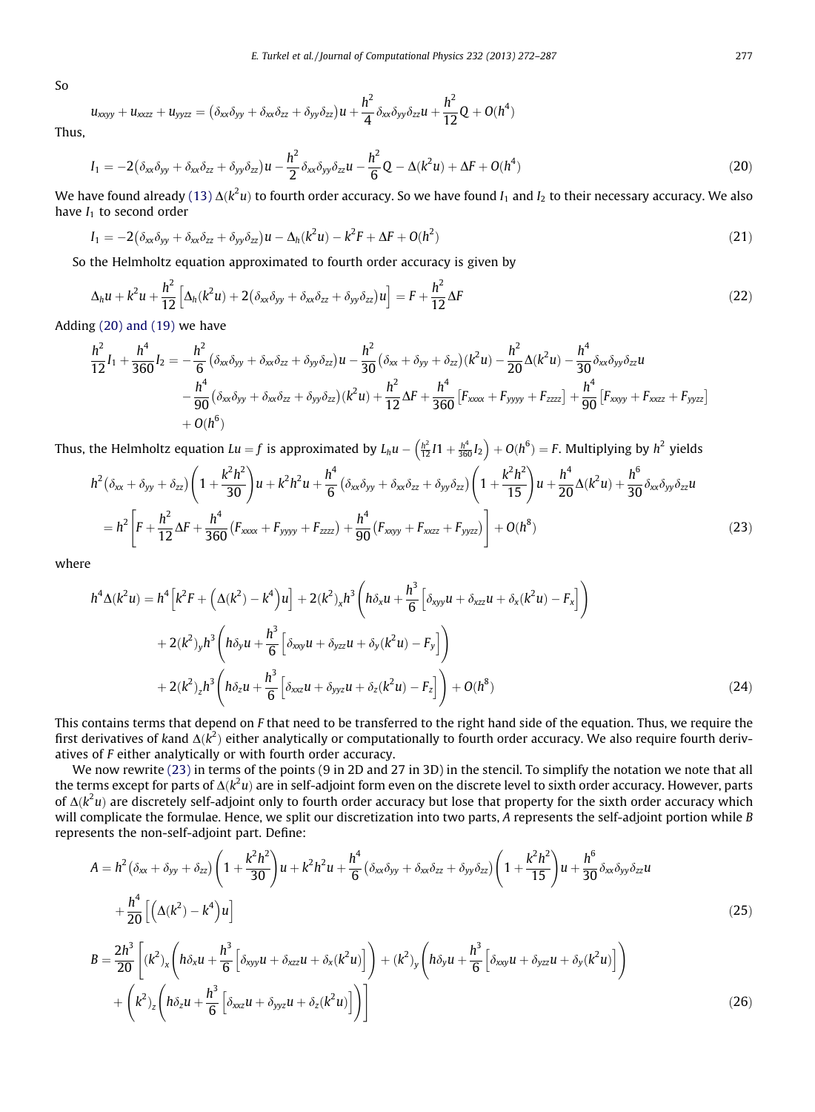So

$$
u_{xxyy} + u_{xxz} + u_{yyzz} = (\delta_{xx}\delta_{yy} + \delta_{xx}\delta_{zz} + \delta_{yy}\delta_{zz})u + \frac{h^2}{4}\delta_{xx}\delta_{yy}\delta_{zz}u + \frac{h^2}{12}Q + O(h^4)
$$

Thus,

$$
I_1 = -2(\delta_{xx}\delta_{yy} + \delta_{xx}\delta_{zz} + \delta_{yy}\delta_{zz})u - \frac{h^2}{2}\delta_{xx}\delta_{yy}\delta_{zz}u - \frac{h^2}{6}Q - \Delta(k^2u) + \Delta F + O(h^4)
$$
\n(20)

We have found already [\(13\)](#page-3-0)  $\Delta(k^2u)$  to fourth order accuracy. So we have found  $I_1$  and  $I_2$  to their necessary accuracy. We also have  $I_1$  to second order

$$
I_1 = -2(\delta_{xx}\delta_{yy} + \delta_{xx}\delta_{zz} + \delta_{yy}\delta_{zz})u - \Delta_h(k^2u) - k^2F + \Delta F + O(h^2)
$$
\n(21)

So the Helmholtz equation approximated to fourth order accuracy is given by

$$
\Delta_h u + k^2 u + \frac{h^2}{12} \left[ \Delta_h (k^2 u) + 2 (\delta_{xx} \delta_{yy} + \delta_{xx} \delta_{zz} + \delta_{yy} \delta_{zz}) u \right] = F + \frac{h^2}{12} \Delta F \tag{22}
$$

Adding (20) and (19) we have

$$
\frac{h^2}{12}I_1 + \frac{h^4}{360}I_2 = -\frac{h^2}{6}(\delta_{xx}\delta_{yy} + \delta_{xx}\delta_{zz} + \delta_{yy}\delta_{zz})u - \frac{h^2}{30}(\delta_{xx} + \delta_{yy} + \delta_{zz})(k^2u) - \frac{h^2}{20}\Delta(k^2u) - \frac{h^4}{30}\delta_{xx}\delta_{yy}\delta_{zz}u
$$

$$
-\frac{h^4}{90}(\delta_{xx}\delta_{yy} + \delta_{xx}\delta_{zz} + \delta_{yy}\delta_{zz})(k^2u) + \frac{h^2}{12}\Delta F + \frac{h^4}{360}[F_{xxxx} + F_{yyy} + F_{zzzz}] + \frac{h^4}{90}[F_{xxy} + F_{xzz} + F_{yyzz}]
$$

$$
+ O(h^6)
$$

Thus, the Helmholtz equation  $Lu=f$  is approximated by  $L_hu-\left(\frac{h^2}{12}I1+\frac{h^4}{360}I_2\right)+O(h^6)=F.$  Multiplying by  $h^2$  yields

$$
h^{2}(\delta_{xx} + \delta_{yy} + \delta_{zz})\left(1 + \frac{k^{2}h^{2}}{30}\right)u + k^{2}h^{2}u + \frac{h^{4}}{6}(\delta_{xx}\delta_{yy} + \delta_{xx}\delta_{zz} + \delta_{yy}\delta_{zz})\left(1 + \frac{k^{2}h^{2}}{15}\right)u + \frac{h^{4}}{20}\Delta(k^{2}u) + \frac{h^{6}}{30}\delta_{xx}\delta_{yy}\delta_{zz}u
$$
  
= 
$$
h^{2}\left[F + \frac{h^{2}}{12}\Delta F + \frac{h^{4}}{360}(F_{xxxx} + F_{yyy} + F_{zzzz}) + \frac{h^{4}}{90}(F_{xxyy} + F_{xzz} + F_{yyzz})\right] + O(h^{8})
$$
(23)

where

$$
h^{4} \Delta(k^{2} u) = h^{4} \left[ k^{2} F + \left( \Delta(k^{2}) - k^{4} \right) u \right] + 2(k^{2})_{x} h^{3} \left( h \delta_{x} u + \frac{h^{3}}{6} \left[ \delta_{xyy} u + \delta_{xzz} u + \delta_{x} (k^{2} u) - F_{x} \right] \right) + 2(k^{2})_{y} h^{3} \left( h \delta_{y} u + \frac{h^{3}}{6} \left[ \delta_{xxy} u + \delta_{yzz} u + \delta_{y} (k^{2} u) - F_{y} \right] \right) + 2(k^{2})_{z} h^{3} \left( h \delta_{z} u + \frac{h^{3}}{6} \left[ \delta_{xxz} u + \delta_{yyz} u + \delta_{z} (k^{2} u) - F_{z} \right] \right) + O(h^{8})
$$
(24)

This contains terms that depend on F that need to be transferred to the right hand side of the equation. Thus, we require the first derivatives of kand  $\Delta(k^2)$  either analytically or computationally to fourth order accuracy. We also require fourth derivatives of F either analytically or with fourth order accuracy.

We now rewrite (23) in terms of the points (9 in 2D and 27 in 3D) in the stencil. To simplify the notation we note that all the terms except for parts of  $\Delta(k^2u)$  are in self-adjoint form even on the discrete level to sixth order accuracy. However, parts of  $\Delta (k^2 u)$  are discretely self-adjoint only to fourth order accuracy but lose that property for the sixth order accuracy which will complicate the formulae. Hence, we split our discretization into two parts, A represents the self-adjoint portion while B represents the non-self-adjoint part. Define:

$$
A = h^{2}(\delta_{xx} + \delta_{yy} + \delta_{zz})\left(1 + \frac{k^{2}h^{2}}{30}\right)u + k^{2}h^{2}u + \frac{h^{4}}{6}(\delta_{xx}\delta_{yy} + \delta_{xx}\delta_{zz} + \delta_{yy}\delta_{zz})\left(1 + \frac{k^{2}h^{2}}{15}\right)u + \frac{h^{6}}{30}\delta_{xx}\delta_{yy}\delta_{zz}u + \frac{h^{4}}{20}\left[\left(\Delta(k^{2}) - k^{4}\right)u\right]
$$
\n
$$
B = \frac{2h^{3}}{20}\left[\left(k^{2}\right)_{x}\left(h\delta_{x}u + \frac{h^{3}}{6}\left[\delta_{xy}u + \delta_{xz}u + \delta_{x}(k^{2}u)\right]\right) + \left(k^{2}\right)_{y}\left(h\delta_{y}u + \frac{h^{3}}{6}\left[\delta_{xx}u + \delta_{yz}u + \delta_{y}(k^{2}u)\right]\right) + \left(k^{2}\right)_{z}\left(h\delta_{z}u + \frac{h^{3}}{6}\left[\delta_{xx}u + \delta_{yy}u + \delta_{z}(k^{2}u)\right]\right)
$$
\n
$$
(26)
$$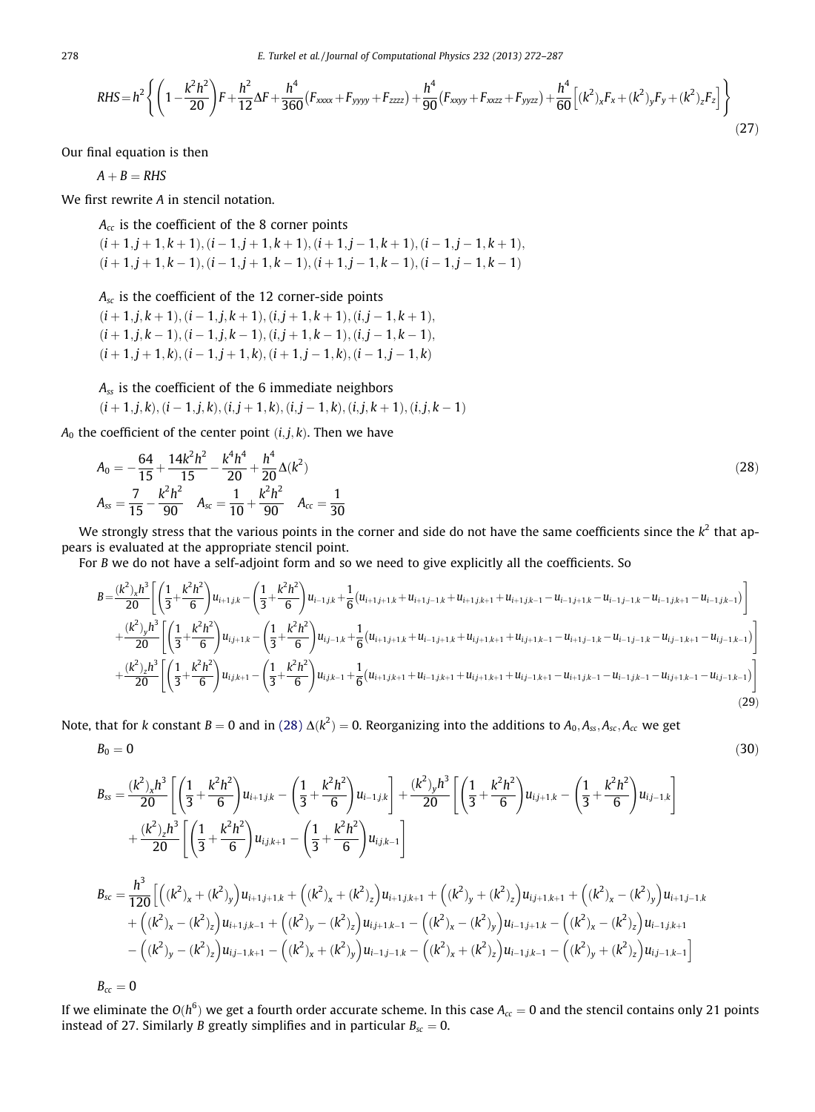278 E. Turkel et al. / Journal of Computational Physics 232 (2013) 272–287

$$
RHS = h^2 \left\{ \left( 1 - \frac{k^2 h^2}{20} \right) F + \frac{h^2}{12} \Delta F + \frac{h^4}{360} (F_{xxxx} + F_{yyy} + F_{zzzz}) + \frac{h^4}{90} (F_{xyy} + F_{xzz} + F_{yyzz}) + \frac{h^4}{60} \left[ (k^2)_x F_x + (k^2)_y F_y + (k^2)_z F_z \right] \right\}
$$
(27)

Our final equation is then

 $A + B = RHS$ 

We first rewrite A in stencil notation.

 $A_{cc}$  is the coefficient of the 8 corner points  $(i + 1, j + 1, k + 1), (i - 1, j + 1, k + 1), (i + 1, j - 1, k + 1), (i - 1, j - 1, k + 1),$  $(i + 1, j + 1, k - 1), (i - 1, j + 1, k - 1), (i + 1, j - 1, k - 1), (i - 1, j - 1, k - 1)$ 

 $A_{sc}$  is the coefficient of the 12 corner-side points  $(i + 1, j, k + 1), (i - 1, j, k + 1), (i, j + 1, k + 1), (i, j - 1, k + 1),$  $(i + 1, j, k - 1), (i - 1, j, k - 1), (i, j + 1, k - 1), (i, j - 1, k - 1),$  $(i + 1, j + 1, k), (i - 1, j + 1, k), (i + 1, j - 1, k), (i - 1, j - 1, k)$ 

 $A_{ss}$  is the coefficient of the 6 immediate neighbors

 $(i + 1, j, k), (i - 1, j, k), (i, j + 1, k), (i, j - 1, k), (i, j, k + 1), (i, j, k - 1)$ 

 $A_0$  the coefficient of the center point  $(i, j, k)$ . Then we have

$$
A_0 = -\frac{64}{15} + \frac{14k^2h^2}{15} - \frac{k^4h^4}{20} + \frac{h^4}{20}\Delta(k^2)
$$
  

$$
A_{ss} = \frac{7}{15} - \frac{k^2h^2}{90} \quad A_{sc} = \frac{1}{10} + \frac{k^2h^2}{90} \quad A_{cc} = \frac{1}{30}
$$
 (28)

We strongly stress that the various points in the corner and side do not have the same coefficients since the  $k^2$  that appears is evaluated at the appropriate stencil point.

For B we do not have a self-adjoint form and so we need to give explicitly all the coefficients. So

$$
B = \frac{(k^2)_x h^3}{20} \left[ \left( \frac{1}{3} + \frac{k^2 h^2}{6} \right) u_{i+1,j,k} - \left( \frac{1}{3} + \frac{k^2 h^2}{6} \right) u_{i-1,j,k} + \frac{1}{6} (u_{i+1,j+1,k} + u_{i+1,j-1,k} + u_{i+1,j,k+1} + u_{i+1,j,k-1} - u_{i-1,j+1,k} - u_{i-1,j-1,k} - u_{i-1,j,k+1} - u_{i-1,j,k-1}) \right] + \frac{(k^2)_y h^3}{20} \left[ \left( \frac{1}{3} + \frac{k^2 h^2}{6} \right) u_{i,j+1,k} - \left( \frac{1}{3} + \frac{k^2 h^2}{6} \right) u_{i,j-1,k} + \frac{1}{6} (u_{i+1,j+1,k} + u_{i-1,j+1,k} + u_{i,j+1,k+1} + u_{i,j+1,k-1} - u_{i+1,j-1,k} - u_{i-1,j-1,k} - u_{i,j-1,k+1} - u_{i,j-1,k-1}) \right] + \frac{(k^2)_z h^3}{20} \left[ \left( \frac{1}{3} + \frac{k^2 h^2}{6} \right) u_{i,j,k+1} - \left( \frac{1}{3} + \frac{k^2 h^2}{6} \right) u_{i,j,k-1} + \frac{1}{6} (u_{i+1,j,k+1} + u_{i-1,j,k+1} + u_{i,j+1,k+1} - u_{i+1,j,k-1} - u_{i+1,j,k-1} - u_{i,j+1,k-1} - u_{i,j-1,k-1}) \right] \tag{29}
$$

Note, that for k constant  $B=0$  and in (28)  $\Delta(k^2)=0$ . Reorganizing into the additions to  $A_0,A_{ss},A_{sc},A_{cc}$  we get

$$
B_0 = 0 \tag{30}
$$

$$
B_{ss} = \frac{(k^2)_x h^3}{20} \left[ \left( \frac{1}{3} + \frac{k^2 h^2}{6} \right) u_{i+1,j,k} - \left( \frac{1}{3} + \frac{k^2 h^2}{6} \right) u_{i-1,j,k} \right] + \frac{(k^2)_y h^3}{20} \left[ \left( \frac{1}{3} + \frac{k^2 h^2}{6} \right) u_{i,j+1,k} - \left( \frac{1}{3} + \frac{k^2 h^2}{6} \right) u_{i,j-1,k} \right] + \frac{(k^2)_z h^3}{20} \left[ \left( \frac{1}{3} + \frac{k^2 h^2}{6} \right) u_{i,j,k+1} - \left( \frac{1}{3} + \frac{k^2 h^2}{6} \right) u_{i,j,k-1} \right] B_{sc} = \frac{h^3}{120} \left[ \left( (k^2)_x + (k^2)_y \right) u_{i+1,j+1,k} + \left( (k^2)_x + (k^2)_z \right) u_{i+1,j,k+1} + \left( (k^2)_y + (k^2)_z \right) u_{i,j+1,k+1} + \left( (k^2)_x - (k^2)_y \right) u_{i-1,j,k+1} \right] - \left( (k^2)_x - (k^2)_z \right) u_{i,j-1,k+1} - \left( (k^2)_y - (k^2)_z \right) u_{i,j+1,k-1} - \left( (k^2)_x - (k^2)_y \right) u_{i-1,j,k-1} - \left( (k^2)_x - (k^2)_z \right) u_{i-1,j,k+1} \right] - \left( (k^2)_y - (k^2)_z \right) u_{i,j-1,k+1} - \left( (k^2)_x + (k^2)_y \right) u_{i-1,j-1,k} - \left( (k^2)_x + (k^2)_z \right) u_{i-1,j,k-1} - \left( (k^2)_y + (k^2)_z \right) u_{i,j-1,k-1} \right]
$$

 $B_{cc} = 0$ 

If we eliminate the  $O(h^6)$  we get a fourth order accurate scheme. In this case  $A_{cc}=0$  and the stencil contains only 21 points instead of 27. Similarly *B* greatly simplifies and in particular  $B_{sc} = 0$ .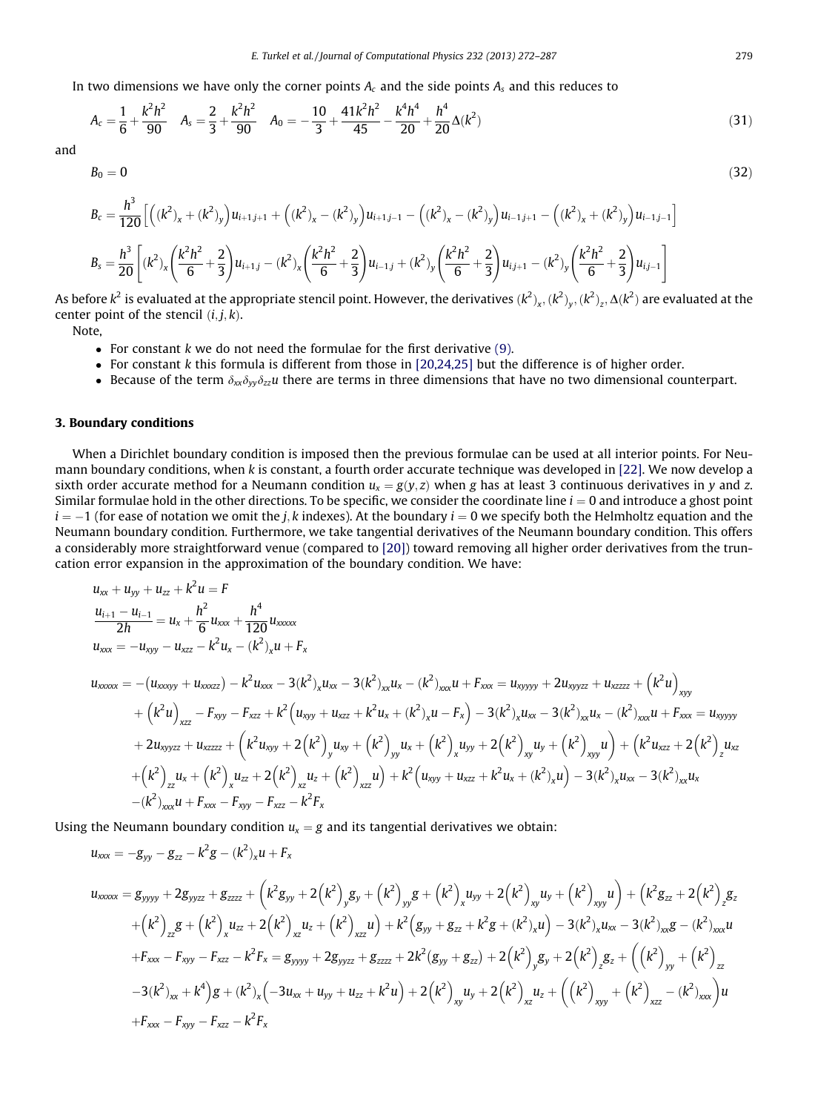In two dimensions we have only the corner points  $A_c$  and the side points  $A_s$  and this reduces to

$$
A_c = \frac{1}{6} + \frac{k^2 h^2}{90} \quad A_s = \frac{2}{3} + \frac{k^2 h^2}{90} \quad A_0 = -\frac{10}{3} + \frac{41k^2 h^2}{45} - \frac{k^4 h^4}{20} + \frac{h^4}{20} \Delta(k^2)
$$
(31)

and

$$
B_0 = 0 \tag{32}
$$

$$
B_c = \frac{h^3}{120} \left[ \left( (k^2)_x + (k^2)_y \right) u_{i+1,j+1} + \left( (k^2)_x - (k^2)_y \right) u_{i+1,j-1} - \left( (k^2)_x - (k^2)_y \right) u_{i-1,j+1} - \left( (k^2)_x + (k^2)_y \right) u_{i-1,j-1} \right]
$$
  
\n
$$
B_s = \frac{h^3}{20} \left[ (k^2)_x \left( \frac{k^2 h^2}{6} + \frac{2}{3} \right) u_{i+1,j} - (k^2)_x \left( \frac{k^2 h^2}{6} + \frac{2}{3} \right) u_{i-1,j} + (k^2)_y \left( \frac{k^2 h^2}{6} + \frac{2}{3} \right) u_{i,j+1} - (k^2)_y \left( \frac{k^2 h^2}{6} + \frac{2}{3} \right) u_{i,j-1} \right]
$$

As before  $k^2$  is evaluated at the appropriate stencil point. However, the derivatives  $(k^2)_x,(k^2)_y,(k^2)_z,\Delta(k^2)$  are evaluated at the center point of the stencil  $(i, j, k)$ .

Note,

- For constant  $k$  we do not need the formulae for the first derivative  $(9)$ .
- $\bullet$  For constant k this formula is different from those in [\[20,24,25\]](#page-15-0) but the difference is of higher order.
- Because of the term  $\delta_{xx}\delta_{yy}\delta_{zz}u$  there are terms in three dimensions that have no two dimensional counterpart.

#### 3. Boundary conditions

When a Dirichlet boundary condition is imposed then the previous formulae can be used at all interior points. For Neumann boundary conditions, when k is constant, a fourth order accurate technique was developed in [\[22\]](#page-15-0). We now develop a sixth order accurate method for a Neumann condition  $u_x = g(v, z)$  when g has at least 3 continuous derivatives in y and z. Similar formulae hold in the other directions. To be specific, we consider the coordinate line  $i = 0$  and introduce a ghost point  $i = -1$  (for ease of notation we omit the j, k indexes). At the boundary  $i = 0$  we specify both the Helmholtz equation and the Neumann boundary condition. Furthermore, we take tangential derivatives of the Neumann boundary condition. This offers a considerably more straightforward venue (compared to [\[20\]\)](#page-15-0) toward removing all higher order derivatives from the truncation error expansion in the approximation of the boundary condition. We have:

$$
u_{xx} + u_{yy} + u_{zz} + k^2 u = F
$$
  
\n
$$
\frac{u_{i+1} - u_{i-1}}{2h} = u_x + \frac{h^2}{6} u_{xxx} + \frac{h^4}{120} u_{xxxxx}
$$
  
\n
$$
u_{xxxx} = -u_{xyy} - u_{xzz} - k^2 u_x - (k^2)_x u + F_x
$$
  
\n
$$
u_{xxxxx} = -(u_{xxxyy} + u_{xxzz}) - k^2 u_{xxx} - 3(k^2)_x u_{xx} - 3(k^2)_{xx} u_x - (k^2)_{xxx} u + F_{xxx} = u_{xyyyy} + 2u_{xyyzz} + u_{xzzz} + (k^2 u)_{xyy}
$$
  
\n
$$
+ (k^2 u)_{xzz} - F_{xyy} - F_{xzz} + k^2 (u_{xyy} + u_{xzz} + k^2 u_x + (k^2)_x u - F_x) - 3(k^2)_x u_{xx} - 3(k^2)_{xx} u_x - (k^2)_{xxx} u + F_{xxx} = u_{xyyyy}
$$
  
\n
$$
+ 2u_{xyyzz} + u_{xzzzz} + (k^2 u_{xyy} + 2(k^2)_y u_{xy} + (k^2)_y u_x + (k^2)_x u_{yy} + 2(k^2)_x u_y + (k^2)_x u_y + (k^2)_x u_y) + (k^2 u_{xzz} + 2(k^2)_z u_{xz} + (k^2)_x u_x + (k^2)_x u_x + (k^2)_x u_x - 3(k^2)_x u_x - 3(k^2)_x u_x - 3(k^2)_x u_x - 3(k^2)_x u_x - 3(k^2)_x u_x - 3(k^2)_x u_x - 3(k^2)_x u_x - 3(k^2)_x u_x - 3(k^2)_x u_x - 3(k^2)_x u_x - 3(k^2)_x u_x - 3(k^2)_x u_x - 3(k^2)_x u_x - 3(k^2)_x u_x - 3(k^2)_x u_x - 3(k^2)_x u_x - 3(k^2)_x u_x - 3(k^2)_x u_x - 3(k^2)_x u_x - 3(k^2)_x u_x - 3(k^2)_x u_x - 3(k^2)_x u_x - 3(k^2)_x u_x - 3(k^2)_x u_x - 3(k^2)_x u_x - 3(k^
$$

Using the Neumann boundary condition  $u_x = g$  and its tangential derivatives we obtain:

$$
u_{xxx} = -g_{yy} - g_{zz} - k^2 g - (k^2)_x u + F_x
$$
  
\n
$$
u_{xxxxx} = g_{yyyy} + 2g_{yyzz} + g_{zzzz} + (k^2 g_{yy} + 2(k^2)_y g_y + (k^2)_y g + (k^2)_x u_{yy} + 2(k^2)_x u_y + (k^2)_x u_y) + (k^2 g_{zz} + 2(k^2)_z g_z
$$
  
\n
$$
+ (k^2)_z g + (k^2)_x u_{zz} + 2(k^2)_x u_z + (k^2)_x u_y) + k^2 (g_{yy} + g_{zz} + k^2 g + (k^2)_x u_y) - 3(k^2)_x u_{xx} - 3(k^2)_x g - (k^2)_x x u_x
$$
  
\n
$$
+ F_{xxx} - F_{xyy} - F_{xzz} - k^2 F_x = g_{yyyy} + 2g_{yyzz} + g_{zzzz} + 2k^2 (g_{yy} + g_{zz}) + 2(k^2)_y g_y + 2(k^2)_z g_z + ((k^2)_y + (k^2)_z)
$$
  
\n
$$
-3(k^2)_{xx} + k^4 g + (k^2)_x (-3u_{xx} + u_{yy} + u_{zz} + k^2 u) + 2(k^2)_{xy} u_y + 2(k^2)_{xz} u_z + ((k^2)_{xy} + (k^2)_{xz} - (k^2)_{xx}) u
$$
  
\n
$$
+ F_{xxx} - F_{xyy} - F_{xzz} - k^2 F_x
$$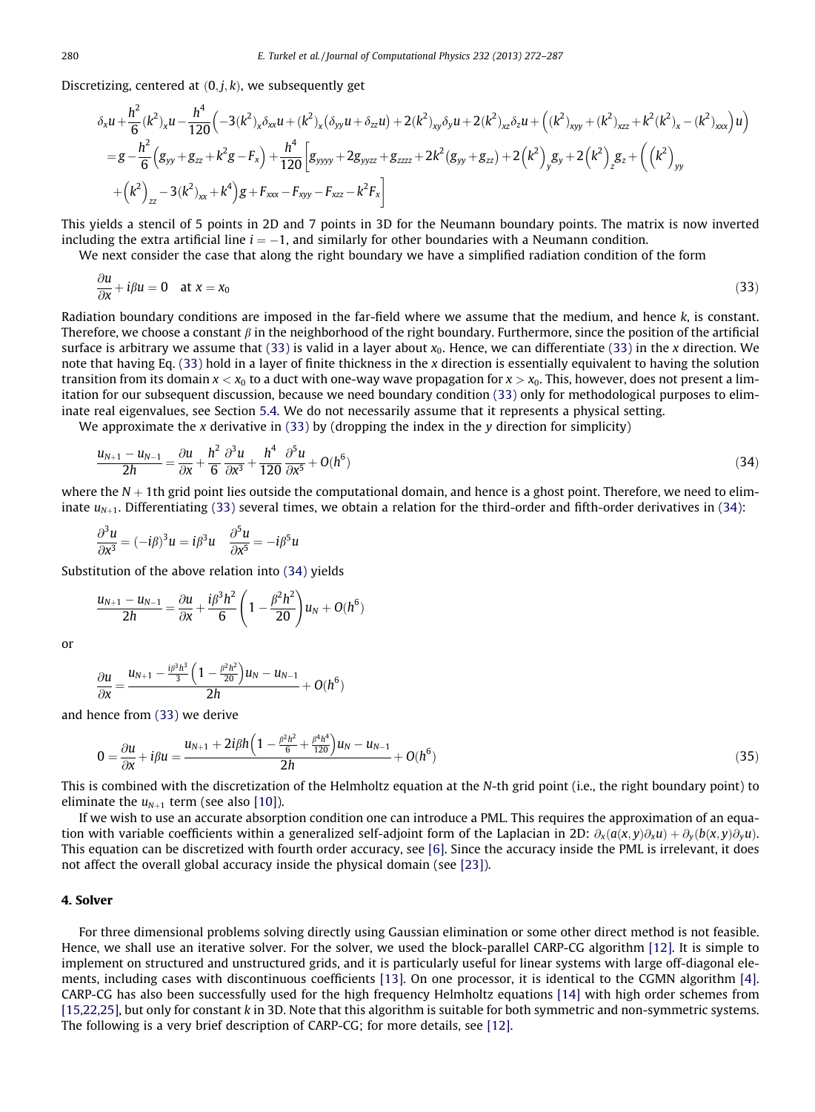<span id="page-8-0"></span>Discretizing, centered at  $(0, i, k)$ , we subsequently get

$$
\delta_x u + \frac{h^2}{6} (k^2)_x u - \frac{h^4}{120} \Big( -3(k^2)_x \delta_{xx} u + (k^2)_x (\delta_{yy} u + \delta_{zz} u) + 2(k^2)_{xy} \delta_y u + 2(k^2)_{xz} \delta_z u + \Big( (k^2)_{xy} + (k^2)_{xz} + k^2(k^2)_x - (k^2)_{xxx} \Big) u \Big)
$$
\n
$$
= g - \frac{h^2}{6} \Big( g_{yy} + g_{zz} + k^2 g - F_x \Big) + \frac{h^4}{120} \Big[ g_{yyyy} + 2g_{yyzz} + g_{zzzz} + 2k^2 (g_{yy} + g_{zz}) + 2(k^2)_{yy} g_y + 2(k^2)_{zz} + \Big( (k^2)_{yy} + (k^2)_{zz} + k^2(k^2)_{yx} + k^4 \Big) g + F_{xxx} - F_{xyy} - F_{xzz} - k^2 F_x \Big]
$$

This yields a stencil of 5 points in 2D and 7 points in 3D for the Neumann boundary points. The matrix is now inverted including the extra artificial line  $i = -1$ , and similarly for other boundaries with a Neumann condition.

We next consider the case that along the right boundary we have a simplified radiation condition of the form

$$
\frac{\partial u}{\partial x} + i\beta u = 0 \quad \text{at } x = x_0 \tag{33}
$$

Radiation boundary conditions are imposed in the far-field where we assume that the medium, and hence k, is constant. Therefore, we choose a constant  $\beta$  in the neighborhood of the right boundary. Furthermore, since the position of the artificial surface is arbitrary we assume that (33) is valid in a layer about  $x_0$ . Hence, we can differentiate (33) in the x direction. We note that having Eq. (33) hold in a layer of finite thickness in the x direction is essentially equivalent to having the solution transition from its domain  $x < x_0$  to a duct with one-way wave propagation for  $x > x_0$ . This, however, does not present a limitation for our subsequent discussion, because we need boundary condition (33) only for methodological purposes to eliminate real eigenvalues, see Section 5.4. We do not necessarily assume that it represents a physical setting.

We approximate the x derivative in  $(33)$  by (dropping the index in the y direction for simplicity)

$$
\frac{u_{N+1} - u_{N-1}}{2h} = \frac{\partial u}{\partial x} + \frac{h^2}{6} \frac{\partial^3 u}{\partial x^3} + \frac{h^4}{120} \frac{\partial^5 u}{\partial x^5} + O(h^6)
$$
\n(34)

where the  $N + 1$ th grid point lies outside the computational domain, and hence is a ghost point. Therefore, we need to eliminate  $u_{N+1}$ . Differentiating (33) several times, we obtain a relation for the third-order and fifth-order derivatives in (34):

$$
\frac{\partial^3 u}{\partial x^3} = (-i\beta)^3 u = i\beta^3 u \quad \frac{\partial^5 u}{\partial x^5} = -i\beta^5 u
$$

Substitution of the above relation into (34) yields

$$
\frac{u_{N+1}-u_{N-1}}{2h}=\frac{\partial u}{\partial x}+\frac{i\beta^3h^2}{6}\left(1-\frac{\beta^2h^2}{20}\right)u_N+O(h^6)
$$

or

$$
\frac{\partial u}{\partial x} = \frac{u_{N+1} - \frac{i\beta^3 h^3}{3} \left(1 - \frac{\beta^2 h^2}{20}\right) u_N - u_{N-1}}{2h} + O(h^6)
$$

and hence from (33) we derive

$$
0 = \frac{\partial u}{\partial x} + i\beta u = \frac{u_{N+1} + 2i\beta h \left(1 - \frac{\beta^2 h^2}{6} + \frac{\beta^4 h^4}{120}\right) u_N - u_{N-1}}{2h} + O(h^6)
$$
\n(35)

This is combined with the discretization of the Helmholtz equation at the N-th grid point (i.e., the right boundary point) to eliminate the  $u_{N+1}$  term (see also [\[10\]](#page-15-0)).

If we wish to use an accurate absorption condition one can introduce a PML. This requires the approximation of an equation with variable coefficients within a generalized self-adjoint form of the Laplacian in 2D:  $\partial_x(a(x, y)\partial_xu) + \partial_y(b(x, y)\partial_yu)$ . This equation can be discretized with fourth order accuracy, see [\[6\]](#page-15-0). Since the accuracy inside the PML is irrelevant, it does not affect the overall global accuracy inside the physical domain (see [\[23\]](#page-15-0)).

## 4. Solver

For three dimensional problems solving directly using Gaussian elimination or some other direct method is not feasible. Hence, we shall use an iterative solver. For the solver, we used the block-parallel CARP-CG algorithm [\[12\]](#page-15-0). It is simple to implement on structured and unstructured grids, and it is particularly useful for linear systems with large off-diagonal elements, including cases with discontinuous coefficients [\[13\]](#page-15-0). On one processor, it is identical to the CGMN algorithm [\[4\]](#page-15-0). CARP-CG has also been successfully used for the high frequency Helmholtz equations [\[14\]](#page-15-0) with high order schemes from [\[15,22,25\]](#page-15-0), but only for constant k in 3D. Note that this algorithm is suitable for both symmetric and non-symmetric systems. The following is a very brief description of CARP-CG; for more details, see [\[12\].](#page-15-0)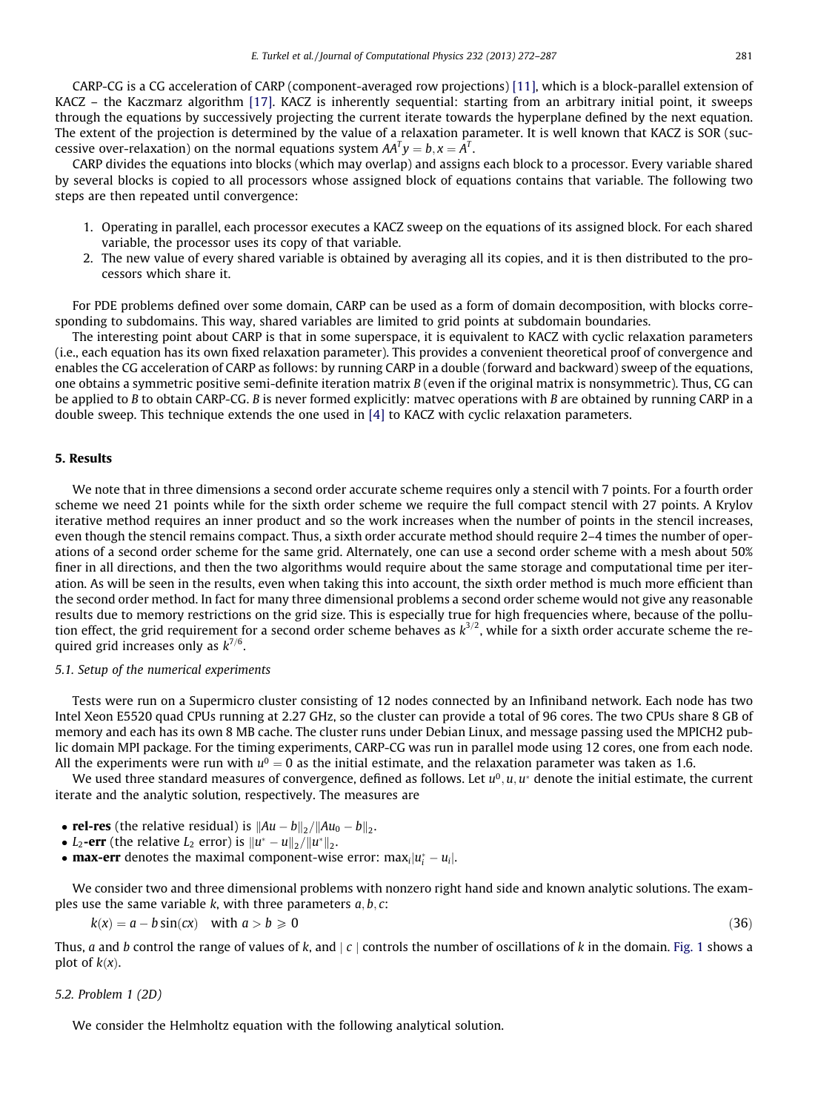CARP-CG is a CG acceleration of CARP (component-averaged row projections) [\[11\],](#page-15-0) which is a block-parallel extension of KACZ – the Kaczmarz algorithm [\[17\]](#page-15-0). KACZ is inherently sequential: starting from an arbitrary initial point, it sweeps through the equations by successively projecting the current iterate towards the hyperplane defined by the next equation. The extent of the projection is determined by the value of a relaxation parameter. It is well known that KACZ is SOR (successive over-relaxation) on the normal equations system  $AA^Ty=b, x=A^T.$ 

CARP divides the equations into blocks (which may overlap) and assigns each block to a processor. Every variable shared by several blocks is copied to all processors whose assigned block of equations contains that variable. The following two steps are then repeated until convergence:

- 1. Operating in parallel, each processor executes a KACZ sweep on the equations of its assigned block. For each shared variable, the processor uses its copy of that variable.
- 2. The new value of every shared variable is obtained by averaging all its copies, and it is then distributed to the processors which share it.

For PDE problems defined over some domain, CARP can be used as a form of domain decomposition, with blocks corresponding to subdomains. This way, shared variables are limited to grid points at subdomain boundaries.

The interesting point about CARP is that in some superspace, it is equivalent to KACZ with cyclic relaxation parameters (i.e., each equation has its own fixed relaxation parameter). This provides a convenient theoretical proof of convergence and enables the CG acceleration of CARP as follows: by running CARP in a double (forward and backward) sweep of the equations, one obtains a symmetric positive semi-definite iteration matrix B (even if the original matrix is nonsymmetric). Thus, CG can be applied to B to obtain CARP-CG. B is never formed explicitly: matvec operations with B are obtained by running CARP in a double sweep. This technique extends the one used in [\[4\]](#page-15-0) to KACZ with cyclic relaxation parameters.

#### 5. Results

We note that in three dimensions a second order accurate scheme requires only a stencil with 7 points. For a fourth order scheme we need 21 points while for the sixth order scheme we require the full compact stencil with 27 points. A Krylov iterative method requires an inner product and so the work increases when the number of points in the stencil increases, even though the stencil remains compact. Thus, a sixth order accurate method should require 2–4 times the number of operations of a second order scheme for the same grid. Alternately, one can use a second order scheme with a mesh about 50% finer in all directions, and then the two algorithms would require about the same storage and computational time per iteration. As will be seen in the results, even when taking this into account, the sixth order method is much more efficient than the second order method. In fact for many three dimensional problems a second order scheme would not give any reasonable results due to memory restrictions on the grid size. This is especially true for high frequencies where, because of the pollution effect, the grid requirement for a second order scheme behaves as  $k^{3/2}$ , while for a sixth order accurate scheme the required grid increases only as  $k^{7/6}$ .

#### 5.1. Setup of the numerical experiments

Tests were run on a Supermicro cluster consisting of 12 nodes connected by an Infiniband network. Each node has two Intel Xeon E5520 quad CPUs running at 2.27 GHz, so the cluster can provide a total of 96 cores. The two CPUs share 8 GB of memory and each has its own 8 MB cache. The cluster runs under Debian Linux, and message passing used the MPICH2 public domain MPI package. For the timing experiments, CARP-CG was run in parallel mode using 12 cores, one from each node. All the experiments were run with  $u^0 = 0$  as the initial estimate, and the relaxation parameter was taken as 1.6.

We used three standard measures of convergence, defined as follows. Let  $u^0, u, u^*$  denote the initial estimate, the current iterate and the analytic solution, respectively. The measures are

• rel-res (the relative residual) is  $||Au - b||_2 / ||Au_0 - b||_2$ .

- $L_2$ -err (the relative  $L_2$  error) is  $||u^* u||_2/||u^*||_2$ .
- **max-err** denotes the maximal component-wise error:  $\max_i |u_i^* u_i|$ .

We consider two and three dimensional problems with nonzero right hand side and known analytic solutions. The examples use the same variable k, with three parameters  $a, b, c$ :

 $k(x) = a - b \sin(cx)$  with  $a > b \ge 0$  (36)

Thus, a and b control the range of values of k, and  $|c|$  controls the number of oscillations of k in the domain. [Fig. 1](#page-10-0) shows a plot of  $k(x)$ .

#### 5.2. Problem 1 (2D)

We consider the Helmholtz equation with the following analytical solution.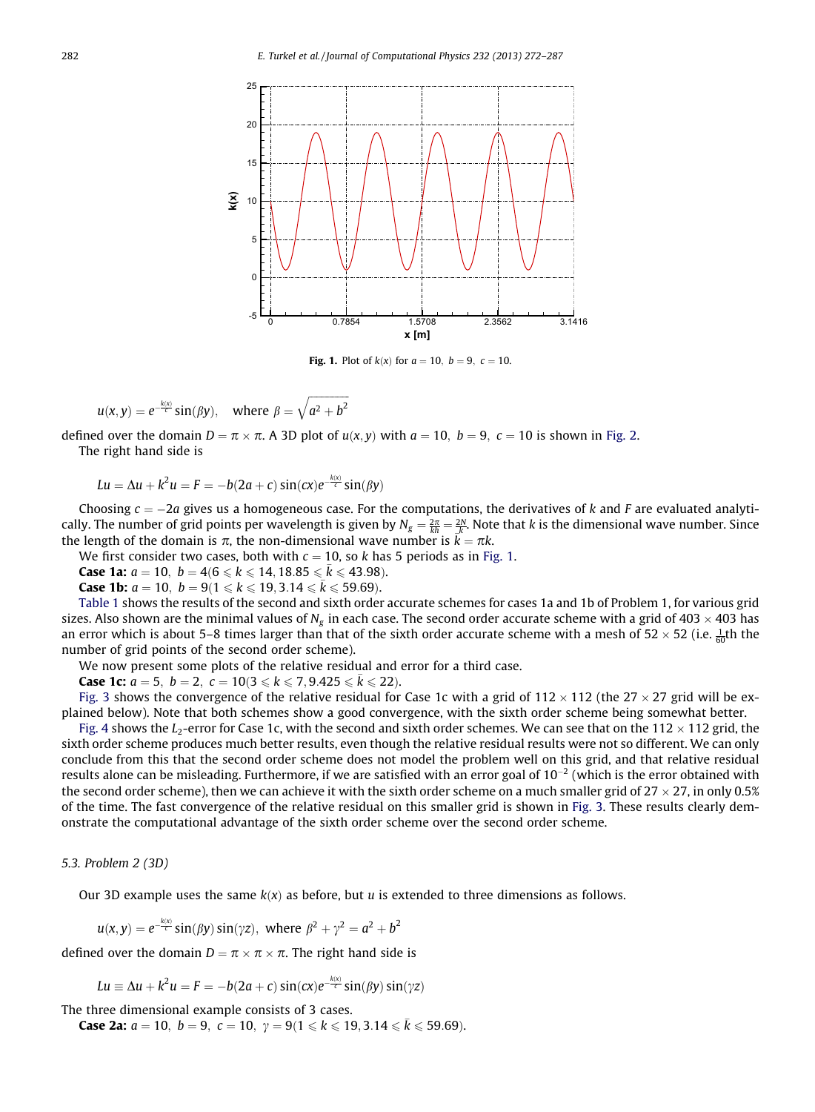<span id="page-10-0"></span>

**Fig. 1.** Plot of  $k(x)$  for  $a = 10$ ,  $b = 9$ ,  $c = 10$ .

$$
u(x,y) = e^{-\frac{k(x)}{c}} \sin(\beta y), \text{ where } \beta = \sqrt{a^2 + b^2}
$$

defined over the domain  $D = \pi \times \pi$ . A 3D plot of  $u(x, y)$  with  $a = 10$ ,  $b = 9$ ,  $c = 10$  is shown in [Fig. 2.](#page-11-0) The right hand side is

$$
Lu = \Delta u + k^2 u = F = -b(2a + c)\sin(cx)e^{-\frac{k(x)}{c}}\sin(\beta y)
$$

Choosing  $c = -2a$  gives us a homogeneous case. For the computations, the derivatives of k and F are evaluated analytically. The number of grid points per wavelength is given by  $N_g = \frac{2\pi}{kh} = \frac{2N}{k}$ . Note that k is the dimensional wave number. Since the length of the domain is  $\pi$ , the non-dimensional wave number is  $\vec{k} = \pi k$ .

We first consider two cases, both with  $c = 10$ , so k has 5 periods as in Fig. 1.

**Case 1a:**  $a = 10$ ,  $b = 4(6 \le k \le 14, 18.85 \le \bar{k} \le 43.98)$ .

**Case 1b:**  $a = 10$ ,  $b = 9(1 \le k \le 19, 3.14 \le \bar{k} \le 59.69)$ .

[Table 1](#page-11-0) shows the results of the second and sixth order accurate schemes for cases 1a and 1b of Problem 1, for various grid sizes. Also shown are the minimal values of  $N_g$  in each case. The second order accurate scheme with a grid of 403  $\times$  403 has an error which is about 5–8 times larger than that of the sixth order accurate scheme with a mesh of 52  $\times$  52 (i.e.  $\frac{1}{60}$ th the number of grid points of the second order scheme).

We now present some plots of the relative residual and error for a third case.

**Case 1c:**  $a = 5$ ,  $b = 2$ ,  $c = 10(3 \le k \le 7, 9.425 \le \bar{k} \le 22)$ .

[Fig. 3](#page-11-0) shows the convergence of the relative residual for Case 1c with a grid of 112  $\times$  112 (the 27  $\times$  27 grid will be explained below). Note that both schemes show a good convergence, with the sixth order scheme being somewhat better.

[Fig. 4](#page-12-0) shows the  $L_2$ -error for Case 1c, with the second and sixth order schemes. We can see that on the 112  $\times$  112 grid, the sixth order scheme produces much better results, even though the relative residual results were not so different. We can only conclude from this that the second order scheme does not model the problem well on this grid, and that relative residual results alone can be misleading. Furthermore, if we are satisfied with an error goal of  $10^{-2}$  (which is the error obtained with the second order scheme), then we can achieve it with the sixth order scheme on a much smaller grid of 27  $\times$  27, in only 0.5% of the time. The fast convergence of the relative residual on this smaller grid is shown in [Fig. 3.](#page-11-0) These results clearly demonstrate the computational advantage of the sixth order scheme over the second order scheme.

#### 5.3. Problem 2 (3D)

Our 3D example uses the same  $k(x)$  as before, but u is extended to three dimensions as follows.

$$
u(x,y) = e^{-\frac{k(x)}{c}} \sin(\beta y) \sin(\gamma z), \text{ where } \beta^2 + \gamma^2 = a^2 + b^2
$$

defined over the domain  $D = \pi \times \pi \times \pi$ . The right hand side is

$$
Lu \equiv \Delta u + k^2 u = F = -b(2a + c)\sin(cx)e^{-\frac{k(x)}{c}}\sin(\beta y)\sin(\gamma z)
$$

The three dimensional example consists of 3 cases.

**Case 2a:**  $a = 10$ ,  $b = 9$ ,  $c = 10$ ,  $\gamma = 9(1 \le k \le 19, 3.14 \le \bar{k} \le 59.69)$ .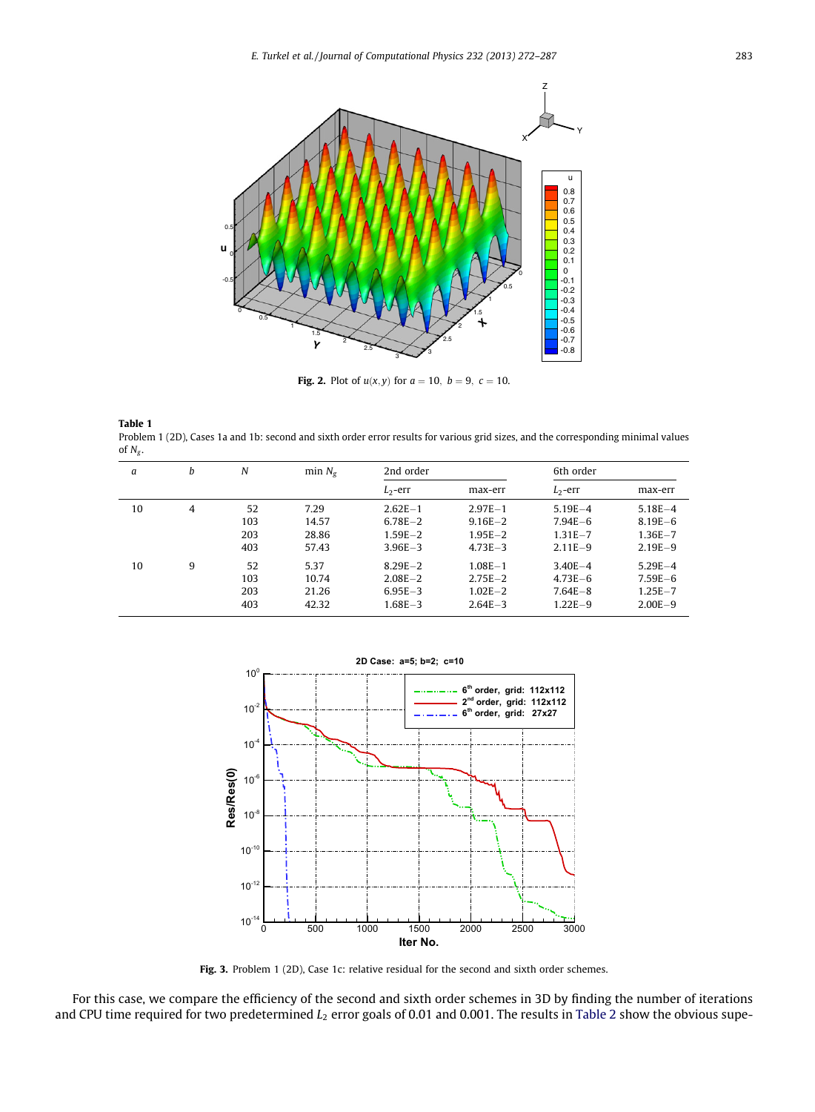<span id="page-11-0"></span>

**Fig. 2.** Plot of  $u(x, y)$  for  $a = 10$ ,  $b = 9$ ,  $c = 10$ .

| <b>Table 1</b>                                                                                                                     |
|------------------------------------------------------------------------------------------------------------------------------------|
| Problem 1 (2D), Cases 1a and 1b: second and sixth order error results for various grid sizes, and the corresponding minimal values |
| of $N_{\sigma}$ .                                                                                                                  |

| a  | b | N   | min $N_g$ | 2nd order   |             | 6th order   |             |
|----|---|-----|-----------|-------------|-------------|-------------|-------------|
|    |   |     |           | $L_2$ -err  | max-err     | $L_2$ -err  | max-err     |
| 10 | 4 | 52  | 7.29      | $2.62E - 1$ | $2.97E - 1$ | $5.19E - 4$ | $5.18E - 4$ |
|    |   | 103 | 14.57     | $6.78E - 2$ | $9.16E - 2$ | $7.94E - 6$ | $8.19E - 6$ |
|    |   | 203 | 28.86     | $1.59E - 2$ | $1.95E - 2$ | $1.31E - 7$ | $1.36E - 7$ |
|    |   | 403 | 57.43     | $3.96E - 3$ | $4.73E - 3$ | $2.11E - 9$ | $2.19E - 9$ |
| 10 | 9 | 52  | 5.37      | $8.29E - 2$ | $1.08E - 1$ | $3.40E - 4$ | $5.29E - 4$ |
|    |   | 103 | 10.74     | $2.08E - 2$ | $2.75E - 2$ | $4.73E - 6$ | $7.59E - 6$ |
|    |   | 203 | 21.26     | $6.95E - 3$ | $1.02E - 2$ | $7.64E - 8$ | $1.25E - 7$ |
|    |   | 403 | 42.32     | $1.68E - 3$ | $2.64E - 3$ | $1.22E - 9$ | $2.00E - 9$ |



Fig. 3. Problem 1 (2D), Case 1c: relative residual for the second and sixth order schemes.

For this case, we compare the efficiency of the second and sixth order schemes in 3D by finding the number of iterations and CPU time required for two predetermined  $L_2$  error goals of 0.01 and 0.001. The results in [Table 2](#page-12-0) show the obvious supe-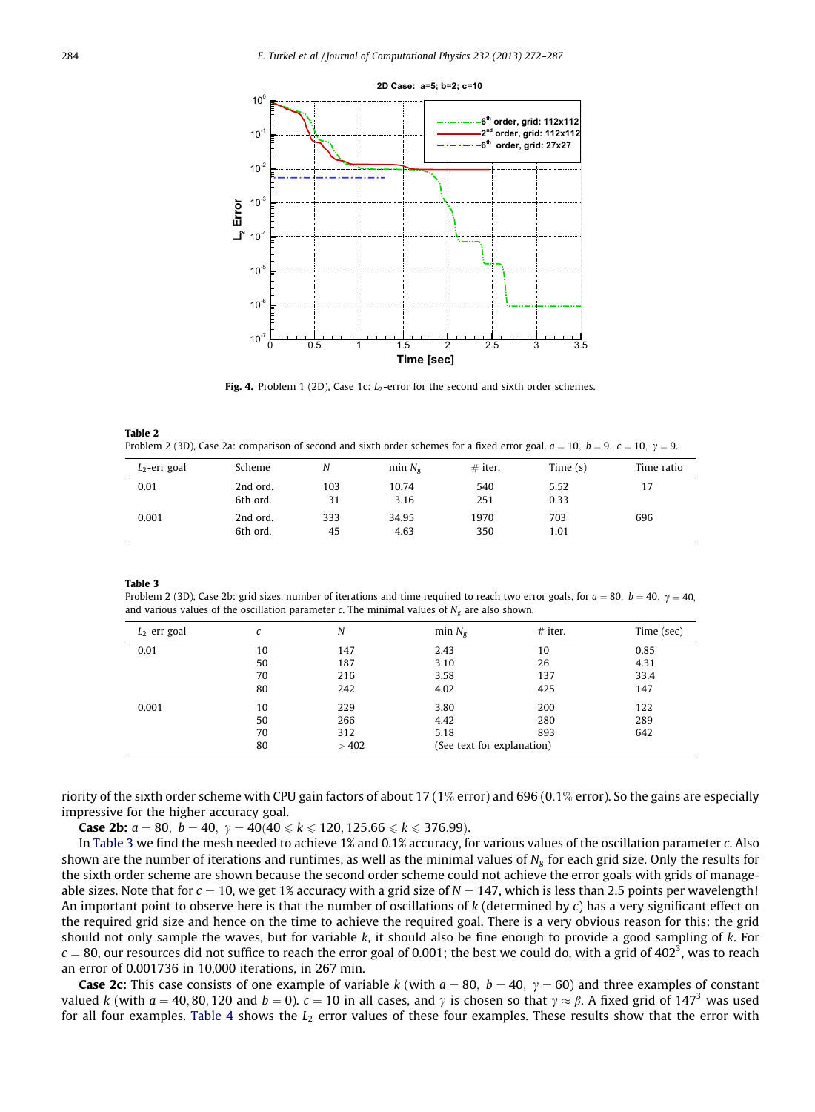<span id="page-12-0"></span>

Fig. 4. Problem 1 (2D), Case 1c:  $L_2$ -error for the second and sixth order schemes.

| Table 2                                                                                                                                      |  |
|----------------------------------------------------------------------------------------------------------------------------------------------|--|
| Problem 2 (3D), Case 2a: comparison of second and sixth order schemes for a fixed error goal. $a = 10$ , $b = 9$ , $c = 10$ , $\gamma = 9$ . |  |

| $L_2$ -err goal | Scheme               | Ν         | min $N_{\varphi}$ | $#$ iter.   | Time $(s)$   | Time ratio |
|-----------------|----------------------|-----------|-------------------|-------------|--------------|------------|
| 0.01            | 2nd ord.<br>6th ord. | 103<br>31 | 10.74<br>3.16     | 540<br>251  | 5.52<br>0.33 | 17         |
| 0.001           | 2nd ord.<br>6th ord. | 333<br>45 | 34.95<br>4.63     | 1970<br>350 | 703<br>1.01  | 696        |

Table 3

Problem 2 (3D), Case 2b: grid sizes, number of iterations and time required to reach two error goals, for  $a = 80$ ,  $b = 40$ ,  $\gamma = 40$ , and various values of the oscillation parameter c. The minimal values of  $N_g$  are also shown.

| $L_2$ -err goal | с  | N    | min $N_{\rm g}$            | $#$ iter. | Time (sec) |
|-----------------|----|------|----------------------------|-----------|------------|
| 0.01            | 10 | 147  | 2.43                       | 10        | 0.85       |
|                 | 50 | 187  | 3.10                       | 26        | 4.31       |
|                 | 70 | 216  | 3.58                       | 137       | 33.4       |
|                 | 80 | 242  | 4.02                       | 425       | 147        |
| 0.001           | 10 | 229  | 3.80                       | 200       | 122        |
|                 | 50 | 266  | 4.42                       | 280       | 289        |
|                 | 70 | 312  | 5.18                       | 893       | 642        |
|                 | 80 | >402 | (See text for explanation) |           |            |

riority of the sixth order scheme with CPU gain factors of about 17 (1% error) and 696 (0.1% error). So the gains are especially impressive for the higher accuracy goal.

**Case 2b:**  $a = 80$ ,  $b = 40$ ,  $\gamma = 40(40 \le k \le 120, 125.66 \le k \le 376.99)$ .

In Table 3 we find the mesh needed to achieve 1% and 0.1% accuracy, for various values of the oscillation parameter c. Also shown are the number of iterations and runtimes, as well as the minimal values of  $N_g$  for each grid size. Only the results for the sixth order scheme are shown because the second order scheme could not achieve the error goals with grids of manageable sizes. Note that for  $c = 10$ , we get 1% accuracy with a grid size of  $N = 147$ , which is less than 2.5 points per wavelength! An important point to observe here is that the number of oscillations of  $k$  (determined by  $c$ ) has a very significant effect on the required grid size and hence on the time to achieve the required goal. There is a very obvious reason for this: the grid should not only sample the waves, but for variable  $k$ , it should also be fine enough to provide a good sampling of  $k$ . For  $c=80$ , our resources did not suffice to reach the error goal of 0.001; the best we could do, with a grid of 402<sup>3</sup>, was to reach an error of 0.001736 in 10,000 iterations, in 267 min.

**Case 2c:** This case consists of one example of variable k (with  $a = 80$ ,  $b = 40$ ,  $\gamma = 60$ ) and three examples of constant valued k (with  $a = 40, 80, 120$  and  $b = 0$ ).  $c = 10$  in all cases, and y is chosen so that  $\gamma \approx \beta$ . A fixed grid of 147<sup>3</sup> was used for all four examples. [Table 4](#page-13-0) shows the  $L<sub>2</sub>$  error values of these four examples. These results show that the error with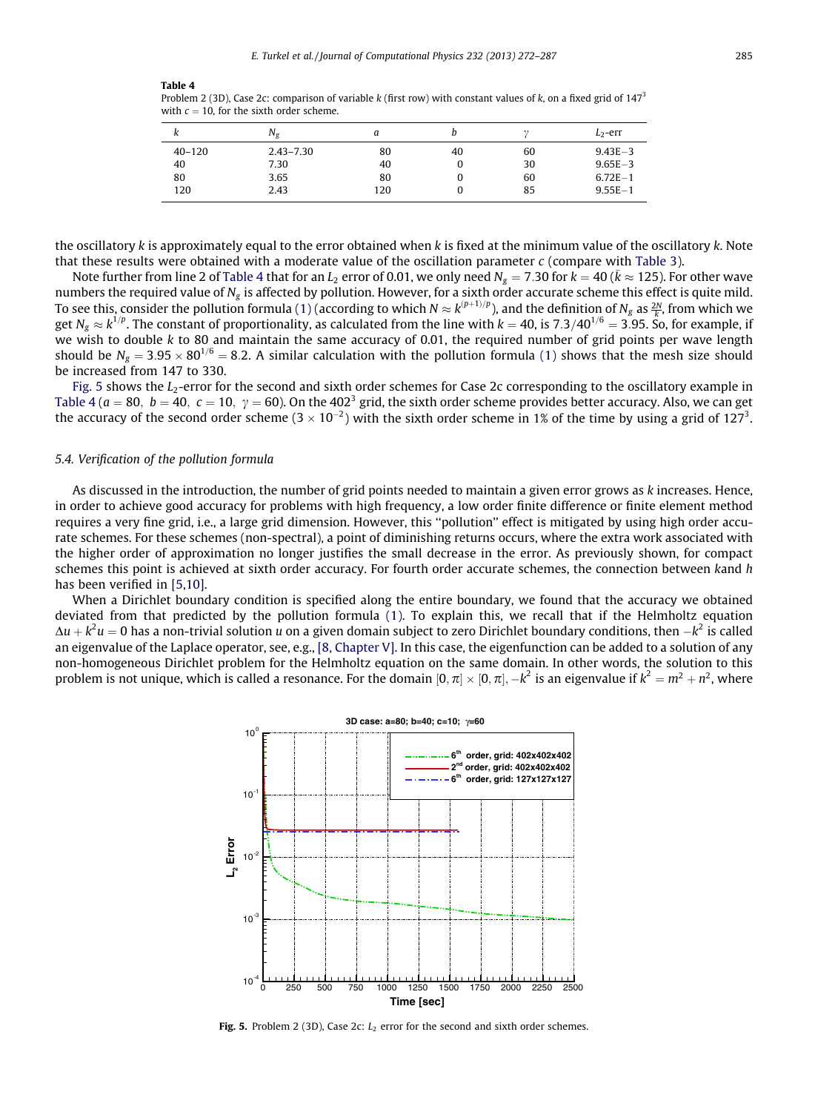<span id="page-13-0"></span>Table 4

Problem 2 (3D), Case 2c: comparison of variable k (first row) with constant values of k, on a fixed grid of  $147<sup>3</sup>$ with  $c = 10$ , for the sixth order scheme.

| ĸ          | $N_g$         |     |    |    | $L_2$ -err  |
|------------|---------------|-----|----|----|-------------|
| $40 - 120$ | $2.43 - 7.30$ | 80  | 40 | 60 | $9.43E - 3$ |
| 40         | 7.30          | 40  | U  | 30 | $9.65E - 3$ |
| 80         | 3.65          | 80  | 0  | 60 | $6.72E - 1$ |
| 120        | 2.43          | 120 |    | 85 | $9.55E - 1$ |

the oscillatory k is approximately equal to the error obtained when k is fixed at the minimum value of the oscillatory  $k$ . Note that these results were obtained with a moderate value of the oscillation parameter  $c$  (compare with [Table 3\)](#page-12-0).

Note further from line 2 of Table 4 that for an  $L_2$  error of 0.01, we only need  $N_g=7.30$  for  $k=40$  (  $\bar k\approx125$  ). For other wave numbers the required value of  $N_{\rm g}$  is affected by pollution. However, for a sixth order accurate scheme this effect is quite mild. To see this, consider the pollution formula [\(1\)](#page-0-0) (according to which  $N \approx k^{(p+1)/p}$ ), and the definition of  $N_g$  as  $\frac{2N}{k}$ , from which we get  $N_g\approx k^{1/p}.$  The constant of proportionality, as calculated from the line with  $k=40$ , is 7.3/40 $^{1/6}=$  3.95. So, for example, if we wish to double  $k$  to 80 and maintain the same accuracy of 0.01, the required number of grid points per wave length should be  $N_g = 3.95 \times 80^{1/6} = 8.2$ . A similar calculation with the pollution formula [\(1\)](#page-0-0) shows that the mesh size should be increased from 147 to 330.

Fig. 5 shows the  $L_2$ -error for the second and sixth order schemes for Case 2c corresponding to the oscillatory example in Table 4 ( $a = 80$ ,  $b = 40$ ,  $c = 10$ ,  $\gamma = 60$ ). On the 402<sup>3</sup> grid, the sixth order scheme provides better accuracy. Also, we can get the accuracy of the second order scheme (3  $\times$  10<sup>-2</sup>) with the sixth order scheme in 1% of the time by using a grid of 127<sup>3</sup>.

#### 5.4. Verification of the pollution formula

As discussed in the introduction, the number of grid points needed to maintain a given error grows as k increases. Hence, in order to achieve good accuracy for problems with high frequency, a low order finite difference or finite element method requires a very fine grid, i.e., a large grid dimension. However, this ''pollution'' effect is mitigated by using high order accurate schemes. For these schemes (non-spectral), a point of diminishing returns occurs, where the extra work associated with the higher order of approximation no longer justifies the small decrease in the error. As previously shown, for compact schemes this point is achieved at sixth order accuracy. For fourth order accurate schemes, the connection between kand h has been verified in [\[5,10\].](#page-15-0)

When a Dirichlet boundary condition is specified along the entire boundary, we found that the accuracy we obtained deviated from that predicted by the pollution formula [\(1\).](#page-0-0) To explain this, we recall that if the Helmholtz equation  $\Delta u+k^2u=0$  has a non-trivial solution  $u$  on a given domain subject to zero Dirichlet boundary conditions, then  $-k^2$  is called an eigenvalue of the Laplace operator, see, e.g., [\[8, Chapter V\].](#page-15-0) In this case, the eigenfunction can be added to a solution of any non-homogeneous Dirichlet problem for the Helmholtz equation on the same domain. In other words, the solution to this problem is not unique, which is called a resonance. For the domain  $[0,\pi]\times[0,\pi], -k^2$  is an eigenvalue if  $k^2=m^2+n^2$ , where



Fig. 5. Problem 2 (3D), Case 2c:  $L_2$  error for the second and sixth order schemes.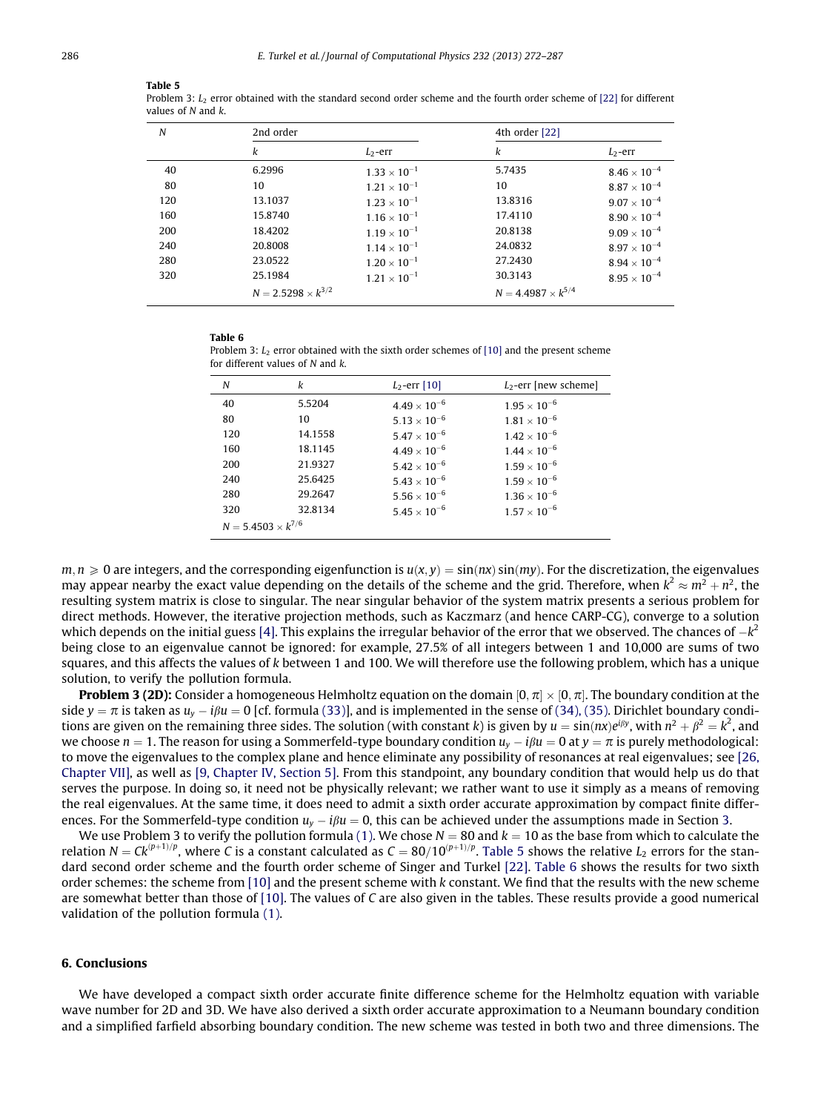#### Table 5

Problem 3:  $L_2$  error obtained with the standard second order scheme and the fourth order scheme of [\[22\]](#page-15-0) for different values of N and k.

| N   | 2nd order                   |                       | 4th order [22]              |                       |
|-----|-----------------------------|-----------------------|-----------------------------|-----------------------|
|     | k                           | $L_2$ -err            | k                           | $L_2$ -err            |
| 40  | 6.2996                      | $1.33 \times 10^{-1}$ | 5.7435                      | $8.46 \times 10^{-4}$ |
| 80  | 10                          | $1.21 \times 10^{-1}$ | 10                          | $8.87 \times 10^{-4}$ |
| 120 | 13.1037                     | $1.23 \times 10^{-1}$ | 13.8316                     | $9.07 \times 10^{-4}$ |
| 160 | 15.8740                     | $1.16 \times 10^{-1}$ | 17.4110                     | $8.90 \times 10^{-4}$ |
| 200 | 18.4202                     | $1.19 \times 10^{-1}$ | 20.8138                     | $9.09 \times 10^{-4}$ |
| 240 | 20,8008                     | $1.14 \times 10^{-1}$ | 24.0832                     | $8.97\times10^{-4}$   |
| 280 | 23.0522                     | $1.20 \times 10^{-1}$ | 27.2430                     | $8.94\times10^{-4}$   |
| 320 | 25.1984                     | $1.21 \times 10^{-1}$ | 30.3143                     | $8.95 \times 10^{-4}$ |
|     | $N = 2.5298 \times k^{3/2}$ |                       | $N = 4.4987 \times k^{5/4}$ |                       |

#### Table 6

Problem 3:  $L_2$  error obtained with the sixth order schemes of [\[10\]](#page-15-0) and the present scheme for different values of N and k.

| N                           | k       | $L_2$ -err [10]       | $L_2$ -err [new scheme] |
|-----------------------------|---------|-----------------------|-------------------------|
| 40                          | 5.5204  | $4.49 \times 10^{-6}$ | $1.95 \times 10^{-6}$   |
| 80                          | 10      | $5.13 \times 10^{-6}$ | $1.81 \times 10^{-6}$   |
| 120                         | 14.1558 | $5.47 \times 10^{-6}$ | $1.42 \times 10^{-6}$   |
| 160                         | 18.1145 | $4.49 \times 10^{-6}$ | $1.44 \times 10^{-6}$   |
| 200                         | 21.9327 | $5.42 \times 10^{-6}$ | $1.59 \times 10^{-6}$   |
| 240                         | 25.6425 | $5.43 \times 10^{-6}$ | $1.59 \times 10^{-6}$   |
| 280                         | 29.2647 | $5.56 \times 10^{-6}$ | $1.36 \times 10^{-6}$   |
| 320                         | 32.8134 | $5.45 \times 10^{-6}$ | $1.57 \times 10^{-6}$   |
| $N = 5.4503 \times k^{7/6}$ |         |                       |                         |

 $m, n \geq 0$  are integers, and the corresponding eigenfunction is  $u(x, y) = \sin(nx)\sin(my)$ . For the discretization, the eigenvalues may appear nearby the exact value depending on the details of the scheme and the grid. Therefore, when  $k^2\approx m^2+n^2$ , the resulting system matrix is close to singular. The near singular behavior of the system matrix presents a serious problem for direct methods. However, the iterative projection methods, such as Kaczmarz (and hence CARP-CG), converge to a solution which depends on the initial guess [\[4\].](#page-15-0) This explains the irregular behavior of the error that we observed. The chances of  $-k^2$ being close to an eigenvalue cannot be ignored: for example, 27.5% of all integers between 1 and 10,000 are sums of two squares, and this affects the values of k between 1 and 100. We will therefore use the following problem, which has a unique solution, to verify the pollution formula.

**Problem 3 (2D):** Consider a homogeneous Helmholtz equation on the domain  $[0, \pi] \times [0, \pi]$ . The boundary condition at the side  $y = \pi$  is taken as  $u_y - i\beta u = 0$  [cf. formula [\(33\)\]](#page-8-0), and is implemented in the sense of [\(34\), \(35\)](#page-8-0). Dirichlet boundary conditions are given on the remaining three sides. The solution (with constant k) is given by  $u=\sin(nx)e^{i\beta y}$ , with  $n^2+\beta^2=k^2$ , and we choose  $n = 1$ . The reason for using a Sommerfeld-type boundary condition  $u_y - i\beta u = 0$  at  $y = \pi$  is purely methodological: to move the eigenvalues to the complex plane and hence eliminate any possibility of resonances at real eigenvalues; see [\[26,](#page-15-0) [Chapter VII\],](#page-15-0) as well as [\[9, Chapter IV, Section 5\].](#page-15-0) From this standpoint, any boundary condition that would help us do that serves the purpose. In doing so, it need not be physically relevant; we rather want to use it simply as a means of removing the real eigenvalues. At the same time, it does need to admit a sixth order accurate approximation by compact finite differences. For the Sommerfeld-type condition  $u_y - i\beta u = 0$ , this can be achieved under the assumptions made in Section 3.

We use Problem 3 to verify the pollution formula [\(1\)](#page-0-0). We chose  $N = 80$  and  $k = 10$  as the base from which to calculate the relation  $N = C k^{(p+1)/p}$ , where C is a constant calculated as  $C = 80/10^{(p+1)/p}$ . Table 5 shows the relative  $L_2$  errors for the standard second order scheme and the fourth order scheme of Singer and Turkel [\[22\].](#page-15-0) Table 6 shows the results for two sixth order schemes: the scheme from [\[10\]](#page-15-0) and the present scheme with k constant. We find that the results with the new scheme are somewhat better than those of [\[10\].](#page-15-0) The values of C are also given in the tables. These results provide a good numerical validation of the pollution formula [\(1\).](#page-0-0)

#### 6. Conclusions

We have developed a compact sixth order accurate finite difference scheme for the Helmholtz equation with variable wave number for 2D and 3D. We have also derived a sixth order accurate approximation to a Neumann boundary condition and a simplified farfield absorbing boundary condition. The new scheme was tested in both two and three dimensions. The